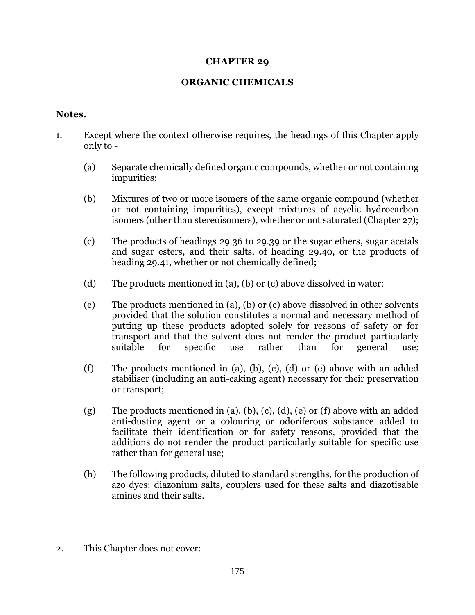## **CHAPTER 29**

## **ORGANIC CHEMICALS**

## **Notes.**

- 1. Except where the context otherwise requires, the headings of this Chapter apply only to -
	- (a) Separate chemically defined organic compounds, whether or not containing impurities;
	- (b) Mixtures of two or more isomers of the same organic compound (whether or not containing impurities), except mixtures of acyclic hydrocarbon isomers (other than stereoisomers), whether or not saturated (Chapter 27);
	- (c) The products of headings 29.36 to 29.39 or the sugar ethers, sugar acetals and sugar esters, and their salts, of heading 29.40, or the products of heading 29.41, whether or not chemically defined;
	- (d) The products mentioned in (a), (b) or (c) above dissolved in water;
	- (e) The products mentioned in (a), (b) or (c) above dissolved in other solvents provided that the solution constitutes a normal and necessary method of putting up these products adopted solely for reasons of safety or for transport and that the solvent does not render the product particularly suitable for specific use rather than for general use;
	- (f) The products mentioned in (a), (b), (c), (d) or (e) above with an added stabiliser (including an anti-caking agent) necessary for their preservation or transport;
	- (g) The products mentioned in (a), (b), (c), (d), (e) or (f) above with an added anti-dusting agent or a colouring or odoriferous substance added to facilitate their identification or for safety reasons, provided that the additions do not render the product particularly suitable for specific use rather than for general use;
	- (h) The following products, diluted to standard strengths, for the production of azo dyes: diazonium salts, couplers used for these salts and diazotisable amines and their salts.
- 2. This Chapter does not cover: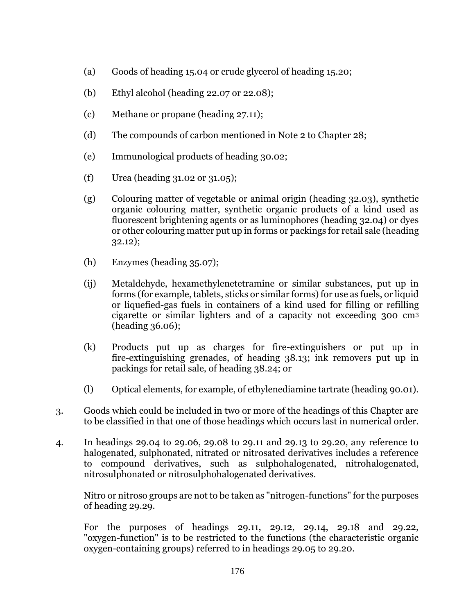- (a) Goods of heading 15.04 or crude glycerol of heading 15.20;
- (b) Ethyl alcohol (heading 22.07 or 22.08);
- (c) Methane or propane (heading 27.11);
- (d) The compounds of carbon mentioned in Note 2 to Chapter 28;
- (e) Immunological products of heading 30.02;
- (f) Urea (heading 31.02 or 31.05);
- (g) Colouring matter of vegetable or animal origin (heading 32.03), synthetic organic colouring matter, synthetic organic products of a kind used as fluorescent brightening agents or as luminophores (heading 32.04) or dyes or other colouring matter put up in forms or packings for retail sale (heading 32.12);
- (h) Enzymes (heading 35.07);
- (ij) Metaldehyde, hexamethylenetetramine or similar substances, put up in forms (for example, tablets, sticks or similar forms) for use as fuels, or liquid or liquefied-gas fuels in containers of a kind used for filling or refilling cigarette or similar lighters and of a capacity not exceeding 300 cm<sup>3</sup> (heading 36.06);
- (k) Products put up as charges for fire-extinguishers or put up in fire-extinguishing grenades, of heading 38.13; ink removers put up in packings for retail sale, of heading 38.24; or
- (l) Optical elements, for example, of ethylenediamine tartrate (heading 90.01).
- 3. Goods which could be included in two or more of the headings of this Chapter are to be classified in that one of those headings which occurs last in numerical order.
- 4. In headings 29.04 to 29.06, 29.08 to 29.11 and 29.13 to 29.20, any reference to halogenated, sulphonated, nitrated or nitrosated derivatives includes a reference to compound derivatives, such as sulphohalogenated, nitrohalogenated, nitrosulphonated or nitrosulphohalogenated derivatives.

Nitro or nitroso groups are not to be taken as "nitrogen-functions" for the purposes of heading 29.29.

For the purposes of headings 29.11, 29.12, 29.14, 29.18 and 29.22, "oxygen-function" is to be restricted to the functions (the characteristic organic oxygen-containing groups) referred to in headings 29.05 to 29.20.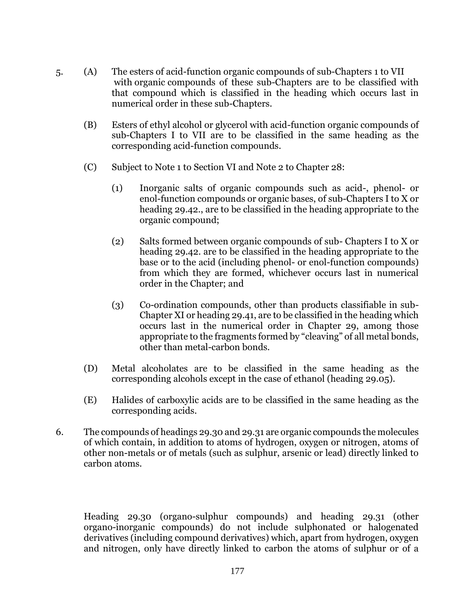- 5. (A) The esters of acid-function organic compounds of sub-Chapters 1 to VII with organic compounds of these sub-Chapters are to be classified with that compound which is classified in the heading which occurs last in numerical order in these sub-Chapters.
	- (B) Esters of ethyl alcohol or glycerol with acid-function organic compounds of sub-Chapters I to VII are to be classified in the same heading as the corresponding acid-function compounds.
	- (C) Subject to Note 1 to Section VI and Note 2 to Chapter 28:
		- (1) Inorganic salts of organic compounds such as acid-, phenol- or enol-function compounds or organic bases, of sub-Chapters I to X or heading 29.42., are to be classified in the heading appropriate to the organic compound;
		- (2) Salts formed between organic compounds of sub- Chapters I to X or heading 29.42. are to be classified in the heading appropriate to the base or to the acid (including phenol- or enol-function compounds) from which they are formed, whichever occurs last in numerical order in the Chapter; and
		- (3) Co-ordination compounds, other than products classifiable in sub-Chapter XI or heading 29.41, are to be classified in the heading which occurs last in the numerical order in Chapter 29, among those appropriate to the fragments formed by "cleaving" of all metal bonds, other than metal-carbon bonds.
	- (D) Metal alcoholates are to be classified in the same heading as the corresponding alcohols except in the case of ethanol (heading 29.05).
	- (E) Halides of carboxylic acids are to be classified in the same heading as the corresponding acids.
- 6. The compounds of headings 29.30 and 29.31 are organic compounds the molecules of which contain, in addition to atoms of hydrogen, oxygen or nitrogen, atoms of other non-metals or of metals (such as sulphur, arsenic or lead) directly linked to carbon atoms.

Heading 29.30 (organo-sulphur compounds) and heading 29.31 (other organo-inorganic compounds) do not include sulphonated or halogenated derivatives (including compound derivatives) which, apart from hydrogen, oxygen and nitrogen, only have directly linked to carbon the atoms of sulphur or of a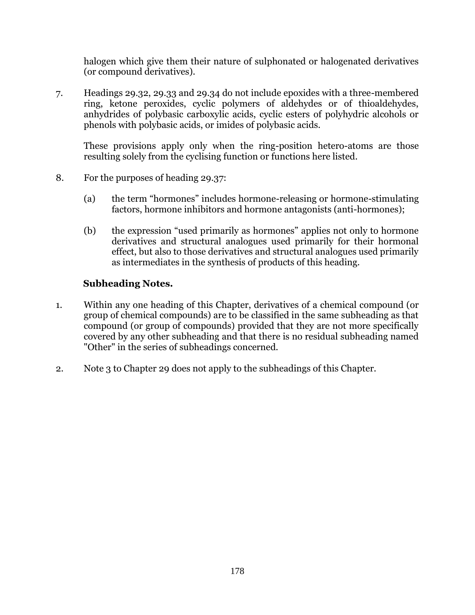halogen which give them their nature of sulphonated or halogenated derivatives (or compound derivatives).

7. Headings 29.32, 29.33 and 29.34 do not include epoxides with a three-membered ring, ketone peroxides, cyclic polymers of aldehydes or of thioaldehydes, anhydrides of polybasic carboxylic acids, cyclic esters of polyhydric alcohols or phenols with polybasic acids, or imides of polybasic acids.

These provisions apply only when the ring-position hetero-atoms are those resulting solely from the cyclising function or functions here listed.

- 8. For the purposes of heading 29.37:
	- (a) the term "hormones" includes hormone-releasing or hormone-stimulating factors, hormone inhibitors and hormone antagonists (anti-hormones);
	- (b) the expression "used primarily as hormones" applies not only to hormone derivatives and structural analogues used primarily for their hormonal effect, but also to those derivatives and structural analogues used primarily as intermediates in the synthesis of products of this heading.

## **Subheading Notes.**

- 1. Within any one heading of this Chapter, derivatives of a chemical compound (or group of chemical compounds) are to be classified in the same subheading as that compound (or group of compounds) provided that they are not more specifically covered by any other subheading and that there is no residual subheading named "Other" in the series of subheadings concerned.
- 2. Note 3 to Chapter 29 does not apply to the subheadings of this Chapter.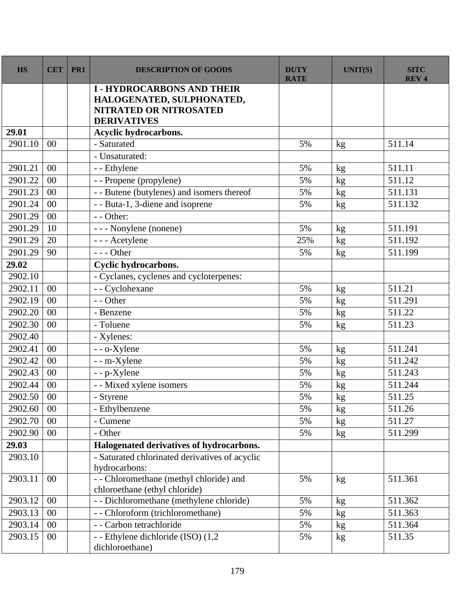| <b>HS</b> | <b>CET</b> | PR1 | <b>DESCRIPTION OF GOODS</b>                                              | <b>DUTY</b><br><b>RATE</b> | <b>UNIT(S)</b> | <b>SITC</b><br><b>REV4</b> |
|-----------|------------|-----|--------------------------------------------------------------------------|----------------------------|----------------|----------------------------|
|           |            |     | <b>I-HYDROCARBONS AND THEIR</b>                                          |                            |                |                            |
|           |            |     | HALOGENATED, SULPHONATED,<br><b>NITRATED OR NITROSATED</b>               |                            |                |                            |
|           |            |     | <b>DERIVATIVES</b>                                                       |                            |                |                            |
| 29.01     |            |     | Acyclic hydrocarbons.                                                    |                            |                |                            |
| 2901.10   | 00         |     | - Saturated                                                              | 5%                         | kg             | 511.14                     |
|           |            |     | - Unsaturated:                                                           |                            |                |                            |
| 2901.21   | 00         |     | - - Ethylene                                                             | 5%                         | kg             | 511.11                     |
| 2901.22   | 00         |     | - - Propene (propylene)                                                  | 5%                         | kg             | 511.12                     |
| 2901.23   | 00         |     | - - Butene (butylenes) and isomers thereof                               | 5%                         | kg             | 511.131                    |
| 2901.24   | 00         |     | - - Buta-1, 3-diene and isoprene                                         | 5%                         | $\mathrm{kg}$  | 511.132                    |
| 2901.29   | 00         |     | $-$ - Other:                                                             |                            |                |                            |
| 2901.29   | 10         |     | - - - Nonylene (nonene)                                                  | 5%                         | kg             | 511.191                    |
| 2901.29   | 20         |     | - - - Acetylene                                                          | 25%                        | kg             | 511.192                    |
| 2901.29   | 90         |     | $\overline{-}$ - Other                                                   | 5%                         | kg             | 511.199                    |
| 29.02     |            |     | Cyclic hydrocarbons.                                                     |                            |                |                            |
| 2902.10   |            |     | - Cyclanes, cyclenes and cycloterpenes:                                  |                            |                |                            |
| 2902.11   | 00         |     | - - Cyclohexane                                                          | 5%                         | kg             | 511.21                     |
| 2902.19   | 00         |     | - - Other                                                                | 5%                         | kg             | 511.291                    |
| 2902.20   | 00         |     | - Benzene                                                                | 5%                         | kg             | 511.22                     |
| 2902.30   | 00         |     | - Toluene                                                                | 5%                         | kg             | 511.23                     |
| 2902.40   |            |     | - Xylenes:                                                               |                            |                |                            |
| 2902.41   | 00         |     | - - o-Xylene                                                             | 5%                         | kg             | 511.241                    |
| 2902.42   | 00         |     | - - m-Xylene                                                             | 5%                         | kg             | 511.242                    |
| 2902.43   | 00         |     | - - p-Xylene                                                             | 5%                         | kg             | 511.243                    |
| 2902.44   | 00         |     | - - Mixed xylene isomers                                                 | 5%                         | kg             | 511.244                    |
| 2902.50   | 00         |     | - Styrene                                                                | 5%                         | kg             | 511.25                     |
| 2902.60   | 00         |     | - Ethylbenzene                                                           | 5%                         | kg             | 511.26                     |
| 2902.70   | 00         |     | - Cumene                                                                 | 5%                         | kg             | 511.27                     |
| 2902.90   | 00         |     | - Other                                                                  | 5%                         | kg             | 511.299                    |
| 29.03     |            |     | Halogenated derivatives of hydrocarbons.                                 |                            |                |                            |
| 2903.10   |            |     | - Saturated chlorinated derivatives of acyclic                           |                            |                |                            |
|           |            |     | hydrocarbons:                                                            |                            |                |                            |
| 2903.11   | $00\,$     |     | - - Chloromethane (methyl chloride) and<br>chloroethane (ethyl chloride) | 5%                         | kg             | 511.361                    |
| 2903.12   | 00         |     | - - Dichloromethane (methylene chloride)                                 | 5%                         | kg             | 511.362                    |
| 2903.13   | 00         |     | - - Chloroform (trichloromethane)                                        | 5%                         | kg             | 511.363                    |
| 2903.14   | 00         |     | - - Carbon tetrachloride                                                 | 5%                         | kg             | 511.364                    |
| 2903.15   | $00\,$     |     | - - Ethylene dichloride (ISO) (1,2<br>dichloroethane)                    | 5%                         | kg             | 511.35                     |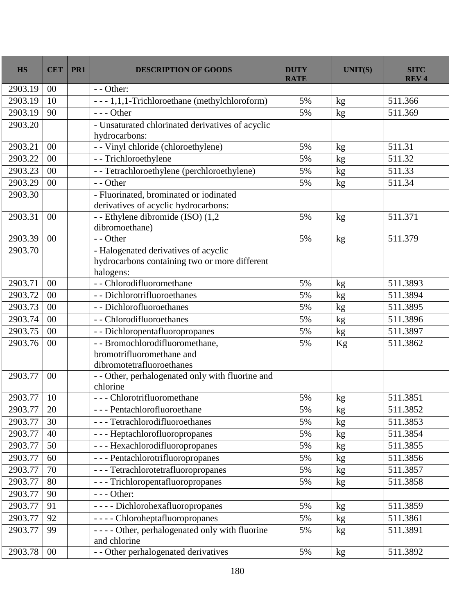| <b>HS</b> | <b>CET</b> | PR1 | <b>DESCRIPTION OF GOODS</b>                                      | <b>DUTY</b><br><b>RATE</b> | <b>UNIT(S)</b> | <b>SITC</b><br><b>REV4</b> |
|-----------|------------|-----|------------------------------------------------------------------|----------------------------|----------------|----------------------------|
| 2903.19   | 00         |     | $-$ - Other:                                                     |                            |                |                            |
| 2903.19   | 10         |     | --- 1,1,1-Trichloroethane (methylchloroform)                     | 5%                         | kg             | 511.366                    |
| 2903.19   | 90         |     | $--$ Other                                                       | 5%                         | kg             | 511.369                    |
| 2903.20   |            |     | - Unsaturated chlorinated derivatives of acyclic                 |                            |                |                            |
|           |            |     | hydrocarbons:                                                    |                            |                |                            |
| 2903.21   | 00         |     | - - Vinyl chloride (chloroethylene)                              | 5%                         | kg             | 511.31                     |
| 2903.22   | 00         |     | - - Trichloroethylene                                            | 5%                         | kg             | 511.32                     |
| 2903.23   | 00         |     | - - Tetrachloroethylene (perchloroethylene)                      | 5%                         | kg             | 511.33                     |
| 2903.29   | 00         |     | - - Other                                                        | 5%                         | kg             | 511.34                     |
| 2903.30   |            |     | - Fluorinated, brominated or iodinated                           |                            |                |                            |
|           |            |     | derivatives of acyclic hydrocarbons:                             |                            |                |                            |
| 2903.31   | 00         |     | - - Ethylene dibromide (ISO) (1,2                                | 5%                         | kg             | 511.371                    |
|           |            |     | dibromoethane)                                                   |                            |                |                            |
| 2903.39   | 00         |     | - - Other                                                        | 5%                         | kg             | 511.379                    |
| 2903.70   |            |     | - Halogenated derivatives of acyclic                             |                            |                |                            |
|           |            |     | hydrocarbons containing two or more different<br>halogens:       |                            |                |                            |
| 2903.71   | 00         |     | -- Chlorodifluoromethane                                         | 5%                         | kg             | 511.3893                   |
| 2903.72   | 00         |     | - - Dichlorotrifluoroethanes                                     | 5%                         | kg             | 511.3894                   |
| 2903.73   | 00         |     | - - Dichlorofluoroethanes                                        | 5%                         | kg             | 511.3895                   |
| 2903.74   | 00         |     | - - Chlorodifluoroethanes                                        | 5%                         | kg             | 511.3896                   |
| 2903.75   | 00         |     | - - Dichloropentafluoropropanes                                  | 5%                         | kg             | 511.3897                   |
| 2903.76   | 00         |     | - - Bromochlorodifluoromethane,                                  | 5%                         | Kg             | 511.3862                   |
|           |            |     | bromotrifluoromethane and                                        |                            |                |                            |
|           |            |     | dibromotetrafluoroethanes                                        |                            |                |                            |
| 2903.77   | 00         |     | - - Other, perhalogenated only with fluorine and                 |                            |                |                            |
|           |            |     | chlorine                                                         |                            |                |                            |
| 2903.77   | 10         |     | --- Chlorotrifluoromethane                                       | 5%                         | kg             | 511.3851                   |
| 2903.77   | 20         |     | --- Pentachlorofluoroethane                                      | 5%                         | kg             | 511.3852                   |
| 2903.77   | 30         |     | --- Tetrachlorodifluoroethanes                                   | 5%                         | kg             | 511.3853                   |
| 2903.77   | 40         |     | --- Heptachlorofluoropropanes                                    | 5%                         | kg             | 511.3854                   |
| 2903.77   | 50         |     | --- Hexachlorodifluoropropanes                                   | 5%                         | kg             | 511.3855                   |
| 2903.77   | 60         |     | --- Pentachlorotrifluoropropanes                                 | 5%                         | kg             | 511.3856                   |
| 2903.77   | 70         |     | --- Tetrachlorotetrafluoropropanes                               | 5%                         | kg             | 511.3857                   |
| 2903.77   | 80         |     | --- Trichloropentafluoropropanes                                 | 5%                         | kg             | 511.3858                   |
| 2903.77   | 90         |     | $--$ Other:                                                      |                            |                |                            |
| 2903.77   | 91         |     | - - - - Dichlorohexafluoropropanes                               | 5%                         | kg             | 511.3859                   |
| 2903.77   | 92         |     | - - - - Chloroheptafluoropropanes                                | 5%                         | kg             | 511.3861                   |
| 2903.77   | 99         |     | - - - - Other, perhalogenated only with fluorine<br>and chlorine | 5%                         | kg             | 511.3891                   |
| 2903.78   | $00\,$     |     | - - Other perhalogenated derivatives                             | 5%                         | kg             | 511.3892                   |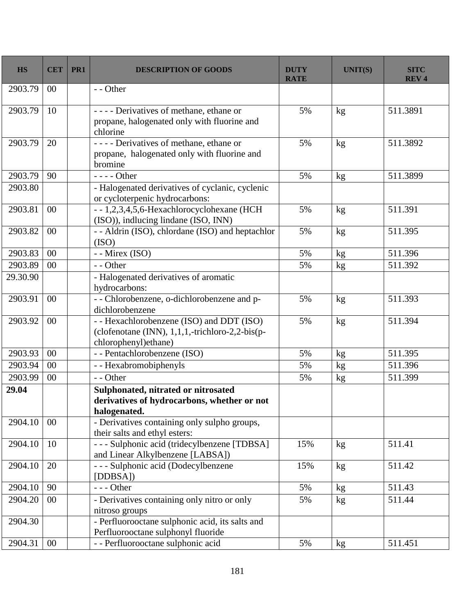| <b>HS</b> | <b>CET</b> | PR1 | <b>DESCRIPTION OF GOODS</b>                                                                                          | <b>DUTY</b><br><b>RATE</b> | <b>UNIT(S)</b> | <b>SITC</b><br><b>REV4</b> |
|-----------|------------|-----|----------------------------------------------------------------------------------------------------------------------|----------------------------|----------------|----------------------------|
| 2903.79   | 00         |     | - - Other                                                                                                            |                            |                |                            |
| 2903.79   | 10         |     | - - - - Derivatives of methane, ethane or<br>propane, halogenated only with fluorine and<br>chlorine                 | 5%                         | kg             | 511.3891                   |
| 2903.79   | 20         |     | ---- Derivatives of methane, ethane or<br>propane, halogenated only with fluorine and<br>bromine                     | 5%                         | kg             | 511.3892                   |
| 2903.79   | 90         |     | $--- Other$                                                                                                          | 5%                         | kg             | 511.3899                   |
| 2903.80   |            |     | - Halogenated derivatives of cyclanic, cyclenic<br>or cycloterpenic hydrocarbons:                                    |                            |                |                            |
| 2903.81   | 00         |     | --1,2,3,4,5,6-Hexachlorocyclohexane (HCH<br>(ISO)), indlucing lindane (ISO, INN)                                     | 5%                         | kg             | 511.391                    |
| 2903.82   | 00         |     | - - Aldrin (ISO), chlordane (ISO) and heptachlor<br>(ISO)                                                            | 5%                         | kg             | 511.395                    |
| 2903.83   | 00         |     | - - Mirex (ISO)                                                                                                      | 5%                         | kg             | 511.396                    |
| 2903.89   | 00         |     | - - Other                                                                                                            | 5%                         | kg             | 511.392                    |
| 29.30.90  |            |     | - Halogenated derivatives of aromatic<br>hydrocarbons:                                                               |                            |                |                            |
| 2903.91   | 00         |     | - - Chlorobenzene, o-dichlorobenzene and p-<br>dichlorobenzene                                                       | 5%                         | kg             | 511.393                    |
| 2903.92   | 00         |     | - - Hexachlorobenzene (ISO) and DDT (ISO)<br>(clofenotane (INN), 1,1,1,-trichloro-2,2-bis(p-<br>chlorophenyl)ethane) | 5%                         | kg             | 511.394                    |
| 2903.93   | 00         |     | - - Pentachlorobenzene (ISO)                                                                                         | 5%                         | kg             | 511.395                    |
| 2903.94   | 00         |     | - - Hexabromobiphenyls                                                                                               | 5%                         | kg             | 511.396                    |
| 2903.99   | 00         |     | - - Other                                                                                                            | 5%                         | $\mathrm{kg}$  | 511.399                    |
| 29.04     |            |     | Sulphonated, nitrated or nitrosated<br>derivatives of hydrocarbons, whether or not<br>halogenated.                   |                            |                |                            |
| 2904.10   | 00         |     | - Derivatives containing only sulpho groups,<br>their salts and ethyl esters:                                        |                            |                |                            |
| 2904.10   | 10         |     | - - - Sulphonic acid (tridecylbenzene [TDBSA]<br>and Linear Alkylbenzene [LABSA])                                    | 15%                        | kg             | 511.41                     |
| 2904.10   | 20         |     | - - - Sulphonic acid (Dodecylbenzene<br>[DDBSA])                                                                     | 15%                        | kg             | 511.42                     |
| 2904.10   | 90         |     | $--$ Other                                                                                                           | 5%                         | kg             | 511.43                     |
| 2904.20   | 00         |     | - Derivatives containing only nitro or only<br>nitroso groups                                                        | 5%                         | kg             | 511.44                     |
| 2904.30   |            |     | - Perfluorooctane sulphonic acid, its salts and<br>Perfluorooctane sulphonyl fluoride                                |                            |                |                            |
| 2904.31   | $00\,$     |     | - - Perfluorooctane sulphonic acid                                                                                   | 5%                         | kg             | 511.451                    |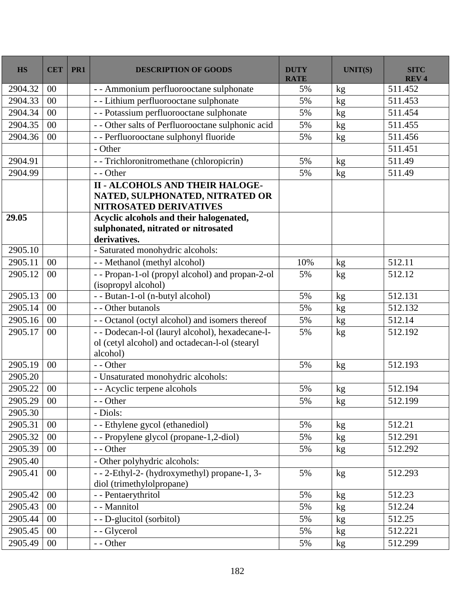| <b>HS</b> | <b>CET</b>     | PR1 | <b>DESCRIPTION OF GOODS</b>                                                                                    | <b>DUTY</b><br><b>RATE</b> | <b>UNIT(S)</b> | <b>SITC</b><br><b>REV4</b> |
|-----------|----------------|-----|----------------------------------------------------------------------------------------------------------------|----------------------------|----------------|----------------------------|
| 2904.32   | 00             |     | - - Ammonium perfluorooctane sulphonate                                                                        | 5%                         | kg             | 511.452                    |
| 2904.33   | 00             |     | - - Lithium perfluorooctane sulphonate                                                                         | 5%                         | kg             | 511.453                    |
| 2904.34   | 00             |     | - - Potassium perfluorooctane sulphonate                                                                       | 5%                         | kg             | 511.454                    |
| 2904.35   | 0 <sup>0</sup> |     | - - Other salts of Perfluorooctane sulphonic acid                                                              | 5%                         | kg             | 511.455                    |
| 2904.36   | 00             |     | - - Perfluorooctane sulphonyl fluoride                                                                         | 5%                         | kg             | 511.456                    |
|           |                |     | - Other                                                                                                        |                            |                | $\overline{511.451}$       |
| 2904.91   |                |     | - Trichloronitromethane (chloropicrin)                                                                         | 5%                         | kg             | 511.49                     |
| 2904.99   |                |     | - - Other                                                                                                      | 5%                         | kg             | 511.49                     |
|           |                |     | <b>II - ALCOHOLS AND THEIR HALOGE-</b><br>NATED, SULPHONATED, NITRATED OR<br><b>NITROSATED DERIVATIVES</b>     |                            |                |                            |
| 29.05     |                |     | Acyclic alcohols and their halogenated,<br>sulphonated, nitrated or nitrosated<br>derivatives.                 |                            |                |                            |
| 2905.10   |                |     | - Saturated monohydric alcohols:                                                                               |                            |                |                            |
| 2905.11   | 00             |     | - - Methanol (methyl alcohol)                                                                                  | 10%                        | kg             | 512.11                     |
| 2905.12   | 00             |     | - - Propan-1-ol (propyl alcohol) and propan-2-ol<br>(isopropyl alcohol)                                        | 5%                         | kg             | 512.12                     |
| 2905.13   | 00             |     | - - Butan-1-ol (n-butyl alcohol)                                                                               | 5%                         | kg             | 512.131                    |
| 2905.14   | 00             |     | - - Other butanols                                                                                             | 5%                         | kg             | 512.132                    |
| 2905.16   | 00             |     | - - Octanol (octyl alcohol) and isomers thereof                                                                | 5%                         | kg             | 512.14                     |
| 2905.17   | 00             |     | - - Dodecan-l-ol (lauryl alcohol), hexadecane-l-<br>ol (cetyl alcohol) and octadecan-l-ol (stearyl<br>alcohol) | 5%                         | kg             | 512.192                    |
| 2905.19   | 00             |     | - - Other                                                                                                      | 5%                         | kg             | 512.193                    |
| 2905.20   |                |     | - Unsaturated monohydric alcohols:                                                                             |                            |                |                            |
| 2905.22   | 00             |     | - - Acyclic terpene alcohols                                                                                   | 5%                         | kg             | 512.194                    |
| 2905.29   | 00             |     | - - Other                                                                                                      | 5%                         | kg             | 512.199                    |
| 2905.30   |                |     | - Diols:                                                                                                       |                            |                |                            |
| 2905.31   | 00             |     | - - Ethylene gycol (ethanediol)                                                                                | 5%                         | kg             | 512.21                     |
| 2905.32   | 00             |     | -- Propylene glycol (propane-1,2-diol)                                                                         | 5%                         | kg             | 512.291                    |
| 2905.39   | $00\,$         |     | - - Other                                                                                                      | 5%                         | kg             | 512.292                    |
| 2905.40   |                |     | - Other polyhydric alcohols:                                                                                   |                            |                |                            |
| 2905.41   | 00             |     | - - 2-Ethyl-2- (hydroxymethyl) propane-1, 3-<br>diol (trimethylolpropane)                                      | 5%                         | kg             | 512.293                    |
| 2905.42   | 00             |     | - - Pentaerythritol                                                                                            | 5%                         | $\mathrm{kg}$  | 512.23                     |
| 2905.43   | 00             |     | - - Mannitol                                                                                                   | 5%                         | kg             | 512.24                     |
| 2905.44   | $00\,$         |     | - - D-glucitol (sorbitol)                                                                                      | 5%                         | kg             | 512.25                     |
| 2905.45   | 00             |     | - - Glycerol                                                                                                   | 5%                         | kg             | 512.221                    |
| 2905.49   | 00             |     | - - Other                                                                                                      | 5%                         | kg             | 512.299                    |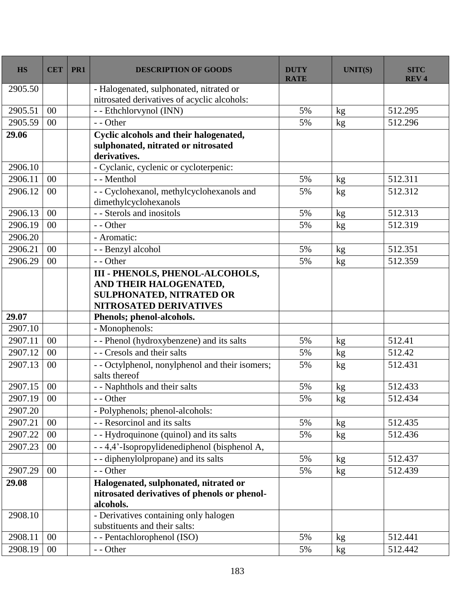| <b>HS</b> | <b>CET</b> | PR1 | <b>DESCRIPTION OF GOODS</b>                                                                                                   | <b>DUTY</b><br><b>RATE</b> | <b>UNIT(S)</b> | <b>SITC</b><br><b>REV4</b> |
|-----------|------------|-----|-------------------------------------------------------------------------------------------------------------------------------|----------------------------|----------------|----------------------------|
| 2905.50   |            |     | - Halogenated, sulphonated, nitrated or<br>nitrosated derivatives of acyclic alcohols:                                        |                            |                |                            |
| 2905.51   | $00\,$     |     | - - Ethchlorvynol (INN)                                                                                                       | 5%                         | kg             | 512.295                    |
| 2905.59   | 00         |     | - - Other                                                                                                                     | 5%                         | kg             | 512.296                    |
| 29.06     |            |     | Cyclic alcohols and their halogenated,<br>sulphonated, nitrated or nitrosated<br>derivatives.                                 |                            |                |                            |
| 2906.10   |            |     | - Cyclanic, cyclenic or cycloterpenic:                                                                                        |                            |                |                            |
| 2906.11   | 00         |     | - - Menthol                                                                                                                   | 5%                         | $\mathrm{kg}$  | 512.311                    |
| 2906.12   | 00         |     | - - Cyclohexanol, methylcyclohexanols and<br>dimethylcyclohexanols                                                            | 5%                         | kg             | 512.312                    |
| 2906.13   | 00         |     | - - Sterols and inositols                                                                                                     | 5%                         | kg             | 512.313                    |
| 2906.19   | 00         |     | - - Other                                                                                                                     | 5%                         | kg             | 512.319                    |
| 2906.20   |            |     | - Aromatic:                                                                                                                   |                            |                |                            |
| 2906.21   | 00         |     | - - Benzyl alcohol                                                                                                            | 5%                         | $\mathbf{kg}$  | 512.351                    |
| 2906.29   | 00         |     | - - Other                                                                                                                     | 5%                         | kg             | 512.359                    |
|           |            |     | <b>III - PHENOLS, PHENOL-ALCOHOLS,</b><br>AND THEIR HALOGENATED,<br><b>SULPHONATED, NITRATED OR</b><br>NITROSATED DERIVATIVES |                            |                |                            |
| 29.07     |            |     | Phenols; phenol-alcohols.                                                                                                     |                            |                |                            |
| 2907.10   |            |     | - Monophenols:                                                                                                                |                            |                |                            |
| 2907.11   | 00         |     | - - Phenol (hydroxybenzene) and its salts                                                                                     | 5%                         | kg             | 512.41                     |
| 2907.12   | 00         |     | - - Cresols and their salts                                                                                                   | 5%                         | kg             | 512.42                     |
| 2907.13   | 00         |     | - - Octylphenol, nonylphenol and their isomers;<br>salts thereof                                                              | 5%                         | kg             | 512.431                    |
| 2907.15   | 00         |     | - - Naphthols and their salts                                                                                                 | 5%                         | $\mathrm{kg}$  | 512.433                    |
| 2907.19   | 00         |     | - - Other                                                                                                                     | 5%                         | kg             | 512.434                    |
| 2907.20   |            |     | - Polyphenols; phenol-alcohols:                                                                                               |                            |                |                            |
| 2907.21   | 00         |     | - - Resorcinol and its salts                                                                                                  | 5%                         | kg             | 512.435                    |
| 2907.22   | $00\,$     |     | - - Hydroquinone (quinol) and its salts                                                                                       | 5%                         | kg             | 512.436                    |
| 2907.23   | 00         |     | - - 4,4'-Isopropylidenediphenol (bisphenol A,                                                                                 |                            |                |                            |
|           |            |     | - - diphenylolpropane) and its salts                                                                                          | 5%                         | $\mathrm{kg}$  | 512.437                    |
| 2907.29   | 00         |     | - - Other                                                                                                                     | 5%                         | kg             | 512.439                    |
| 29.08     |            |     | Halogenated, sulphonated, nitrated or<br>nitrosated derivatives of phenols or phenol-<br>alcohols.                            |                            |                |                            |
| 2908.10   |            |     | - Derivatives containing only halogen<br>substituents and their salts:                                                        |                            |                |                            |
| 2908.11   | 00         |     | - - Pentachlorophenol (ISO)                                                                                                   | 5%                         | kg             | 512.441                    |
| 2908.19   | 00         |     | - - Other                                                                                                                     | 5%                         | kg             | 512.442                    |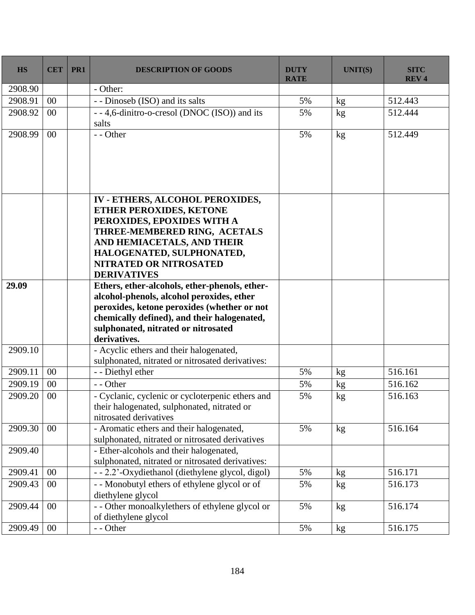| <b>HS</b> | <b>CET</b> | PR1 | <b>DESCRIPTION OF GOODS</b>                                                                                                                                                                                                                       | <b>DUTY</b><br><b>RATE</b> | <b>UNIT(S)</b> | <b>SITC</b><br><b>REV4</b> |
|-----------|------------|-----|---------------------------------------------------------------------------------------------------------------------------------------------------------------------------------------------------------------------------------------------------|----------------------------|----------------|----------------------------|
| 2908.90   |            |     | - Other:                                                                                                                                                                                                                                          |                            |                |                            |
| 2908.91   | 00         |     | - - Dinoseb (ISO) and its salts                                                                                                                                                                                                                   | 5%                         | kg             | 512.443                    |
| 2908.92   | 00         |     | - - 4,6-dinitro-o-cresol (DNOC (ISO)) and its<br>salts                                                                                                                                                                                            | 5%                         | kg             | 512.444                    |
| 2908.99   | 00         |     | - - Other                                                                                                                                                                                                                                         | 5%                         | kg             | 512.449                    |
|           |            |     | IV - ETHERS, ALCOHOL PEROXIDES,<br><b>ETHER PEROXIDES, KETONE</b><br>PEROXIDES, EPOXIDES WITH A<br>THREE-MEMBERED RING, ACETALS<br>AND HEMIACETALS, AND THEIR<br>HALOGENATED, SULPHONATED,<br><b>NITRATED OR NITROSATED</b><br><b>DERIVATIVES</b> |                            |                |                            |
| 29.09     |            |     | Ethers, ether-alcohols, ether-phenols, ether-<br>alcohol-phenols, alcohol peroxides, ether<br>peroxides, ketone peroxides (whether or not<br>chemically defined), and their halogenated,<br>sulphonated, nitrated or nitrosated<br>derivatives.   |                            |                |                            |
| 2909.10   |            |     | - Acyclic ethers and their halogenated,<br>sulphonated, nitrated or nitrosated derivatives:                                                                                                                                                       |                            |                |                            |
| 2909.11   | 00         |     | - - Diethyl ether                                                                                                                                                                                                                                 | 5%                         | kg             | 516.161                    |
| 2909.19   | 00         |     | - - Other                                                                                                                                                                                                                                         | 5%                         | kg             | 516.162                    |
| 2909.20   | 00         |     | - Cyclanic, cyclenic or cycloterpenic ethers and<br>their halogenated, sulphonated, nitrated or<br>nitrosated derivatives                                                                                                                         | 5%                         | kg             | 516.163                    |
| 2909.30   | $00\,$     |     | - Aromatic ethers and their halogenated,<br>sulphonated, nitrated or nitrosated derivatives                                                                                                                                                       | 5%                         | kg             | 516.164                    |
| 2909.40   |            |     | - Ether-alcohols and their halogenated,<br>sulphonated, nitrated or nitrosated derivatives:                                                                                                                                                       |                            |                |                            |
| 2909.41   | 00         |     | - - 2.2'-Oxydiethanol (diethylene glycol, digol)                                                                                                                                                                                                  | 5%                         | kg             | 516.171                    |
| 2909.43   | $00\,$     |     | - - Monobutyl ethers of ethylene glycol or of<br>diethylene glycol                                                                                                                                                                                | 5%                         | kg             | 516.173                    |
| 2909.44   | 00         |     | - - Other monoalkylethers of ethylene glycol or<br>of diethylene glycol                                                                                                                                                                           | 5%                         | kg             | 516.174                    |
| 2909.49   | 00         |     | - - Other                                                                                                                                                                                                                                         | 5%                         | kg             | 516.175                    |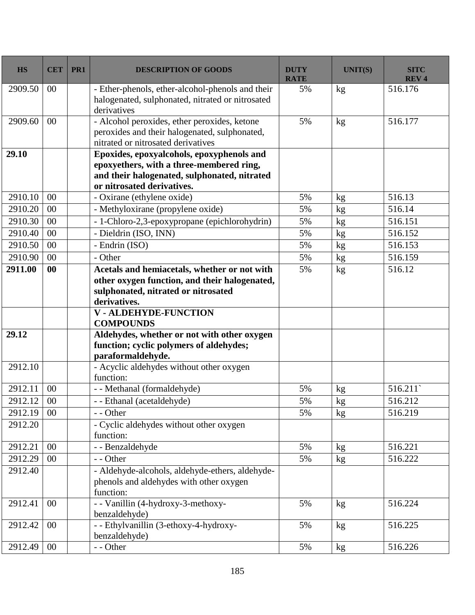| <b>HS</b> | <b>CET</b> | PR1 | <b>DESCRIPTION OF GOODS</b>                                                                                                                                         | <b>DUTY</b><br><b>RATE</b> | <b>UNIT(S)</b> | <b>SITC</b><br><b>REV4</b> |
|-----------|------------|-----|---------------------------------------------------------------------------------------------------------------------------------------------------------------------|----------------------------|----------------|----------------------------|
| 2909.50   | 00         |     | - Ether-phenols, ether-alcohol-phenols and their<br>halogenated, sulphonated, nitrated or nitrosated<br>derivatives                                                 | 5%                         | kg             | 516.176                    |
| 2909.60   | 00         |     | - Alcohol peroxides, ether peroxides, ketone<br>peroxides and their halogenated, sulphonated,<br>nitrated or nitrosated derivatives                                 | 5%                         | kg             | 516.177                    |
| 29.10     |            |     | Epoxides, epoxyalcohols, epoxyphenols and<br>epoxyethers, with a three-membered ring,<br>and their halogenated, sulphonated, nitrated<br>or nitrosated derivatives. |                            |                |                            |
| 2910.10   | 00         |     | - Oxirane (ethylene oxide)                                                                                                                                          | 5%                         | kg             | 516.13                     |
| 2910.20   | 00         |     | - Methyloxirane (propylene oxide)                                                                                                                                   | 5%                         | kg             | 516.14                     |
| 2910.30   | 00         |     | - 1-Chloro-2,3-epoxypropane (epichlorohydrin)                                                                                                                       | 5%                         | kg             | 516.151                    |
| 2910.40   | 00         |     | - Dieldrin (ISO, INN)                                                                                                                                               | 5%                         | kg             | 516.152                    |
| 2910.50   | 00         |     | - Endrin (ISO)                                                                                                                                                      | 5%                         | kg             | 516.153                    |
| 2910.90   | 00         |     | - Other                                                                                                                                                             | 5%                         | kg             | 516.159                    |
| 2911.00   | $\bf{00}$  |     | Acetals and hemiacetals, whether or not with<br>other oxygen function, and their halogenated,<br>sulphonated, nitrated or nitrosated<br>derivatives.                | 5%                         | kg             | 516.12                     |
|           |            |     | V - ALDEHYDE-FUNCTION<br><b>COMPOUNDS</b>                                                                                                                           |                            |                |                            |
| 29.12     |            |     | Aldehydes, whether or not with other oxygen<br>function; cyclic polymers of aldehydes;<br>paraformaldehyde.                                                         |                            |                |                            |
| 2912.10   |            |     | - Acyclic aldehydes without other oxygen<br>function:                                                                                                               |                            |                |                            |
| 2912.11   | 00         |     | - - Methanal (formaldehyde)                                                                                                                                         | 5%                         | kg             | 516.211                    |
| 2912.12   | 00         |     | - - Ethanal (acetaldehyde)                                                                                                                                          | 5%                         | kg             | 516.212                    |
| 2912.19   | 00         |     | - - Other                                                                                                                                                           | 5%                         | kg             | 516.219                    |
| 2912.20   |            |     | - Cyclic aldehydes without other oxygen<br>function:                                                                                                                |                            |                |                            |
| 2912.21   | 00         |     | - - Benzaldehyde                                                                                                                                                    | 5%                         | kg             | 516.221                    |
| 2912.29   | 00         |     | - - Other                                                                                                                                                           | 5%                         | kg             | 516.222                    |
| 2912.40   |            |     | - Aldehyde-alcohols, aldehyde-ethers, aldehyde-<br>phenols and aldehydes with other oxygen<br>function:                                                             |                            |                |                            |
| 2912.41   | 00         |     | - - Vanillin (4-hydroxy-3-methoxy-<br>benzaldehyde)                                                                                                                 | 5%                         | kg             | 516.224                    |
| 2912.42   | 00         |     | - - Ethylvanillin (3-ethoxy-4-hydroxy-<br>benzaldehyde)                                                                                                             | 5%                         | kg             | 516.225                    |
| 2912.49   | 00         |     | - - Other                                                                                                                                                           | 5%                         | kg             | 516.226                    |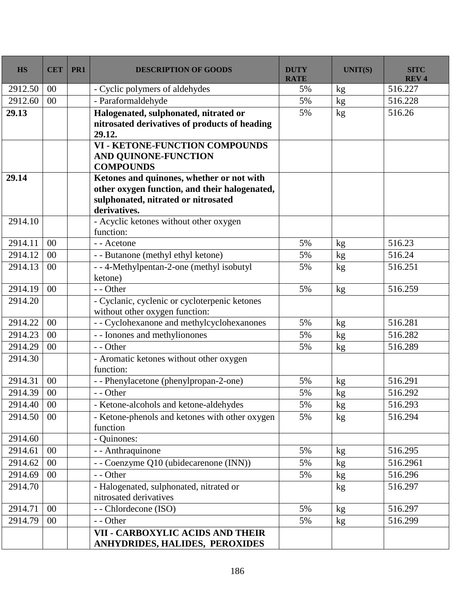| <b>HS</b>  | <b>CET</b> | PR1 | <b>DESCRIPTION OF GOODS</b>                                                              | <b>DUTY</b><br><b>RATE</b> | <b>UNIT(S)</b>      | <b>SITC</b><br><b>REV4</b> |
|------------|------------|-----|------------------------------------------------------------------------------------------|----------------------------|---------------------|----------------------------|
| 2912.50    | $00\,$     |     | - Cyclic polymers of aldehydes                                                           | 5%                         | kg                  | 516.227                    |
| 2912.60    | 00         |     | - Paraformaldehyde                                                                       | 5%                         | kg                  | 516.228                    |
| 29.13      |            |     | Halogenated, sulphonated, nitrated or                                                    | 5%                         | kg                  | 516.26                     |
|            |            |     | nitrosated derivatives of products of heading<br>29.12.                                  |                            |                     |                            |
|            |            |     | <b>VI - KETONE-FUNCTION COMPOUNDS</b><br><b>AND QUINONE-FUNCTION</b><br><b>COMPOUNDS</b> |                            |                     |                            |
| 29.14      |            |     | Ketones and quinones, whether or not with                                                |                            |                     |                            |
|            |            |     | other oxygen function, and their halogenated,                                            |                            |                     |                            |
|            |            |     | sulphonated, nitrated or nitrosated                                                      |                            |                     |                            |
|            |            |     | derivatives.                                                                             |                            |                     |                            |
| 2914.10    |            |     | - Acyclic ketones without other oxygen<br>function:                                      |                            |                     |                            |
| 2914.11    | 00         |     | - - Acetone                                                                              | 5%                         |                     | 516.23                     |
| 2914.12    | 00         |     | - - Butanone (methyl ethyl ketone)                                                       | 5%                         | kg<br>$\mathrm{kg}$ | 516.24                     |
| 2914.13    | 00         |     | - - 4-Methylpentan-2-one (methyl isobutyl                                                | 5%                         |                     | 516.251                    |
|            |            |     | ketone)                                                                                  |                            | kg                  |                            |
| 2914.19    | $00\,$     |     | - - Other                                                                                | 5%                         | kg                  | 516.259                    |
| 2914.20    |            |     | - Cyclanic, cyclenic or cycloterpenic ketones<br>without other oxygen function:          |                            |                     |                            |
| 2914.22    | 00         |     | - - Cyclohexanone and methylcyclohexanones                                               | 5%                         | kg                  | 516.281                    |
| 2914.23    | 00         |     | - - Ionones and methylionones                                                            | 5%                         | kg                  | 516.282                    |
| 2914.29    | 00         |     | - - Other                                                                                | 5%                         | kg                  | 516.289                    |
| 2914.30    |            |     | - Aromatic ketones without other oxygen<br>function:                                     |                            |                     |                            |
| 2914.31    | 00         |     | -- Phenylacetone (phenylpropan-2-one)                                                    | 5%                         | kg                  | 516.291                    |
| 2914.39    | 00         |     | - - Other                                                                                | 5%                         | kg                  | 516.292                    |
| 2914.40 00 |            |     | - Ketone-alcohols and ketone-aldehydes                                                   | 5%                         | $\mathrm{kg}$       | 516.293                    |
| 2914.50    | 00         |     | - Ketone-phenols and ketones with other oxygen                                           | 5%                         | kg                  | 516.294                    |
|            |            |     | function                                                                                 |                            |                     |                            |
| 2914.60    |            |     | - Quinones:                                                                              |                            |                     |                            |
| 2914.61    | 00         |     | - - Anthraquinone                                                                        | 5%                         | kg                  | 516.295                    |
| 2914.62    | 00         |     | - - Coenzyme Q10 (ubidecarenone (INN))                                                   | 5%                         | kg                  | 516.2961                   |
| 2914.69    | 00         |     | - - Other                                                                                | 5%                         | kg                  | 516.296                    |
| 2914.70    |            |     | - Halogenated, sulphonated, nitrated or                                                  |                            | kg                  | 516.297                    |
|            |            |     | nitrosated derivatives                                                                   |                            |                     |                            |
| 2914.71    | 00         |     | - - Chlordecone (ISO)                                                                    | 5%                         | kg                  | 516.297                    |
| 2914.79    | 00         |     | - - Other                                                                                | 5%                         | kg                  | 516.299                    |
|            |            |     | VII - CARBOXYLIC ACIDS AND THEIR<br>ANHYDRIDES, HALIDES, PEROXIDES                       |                            |                     |                            |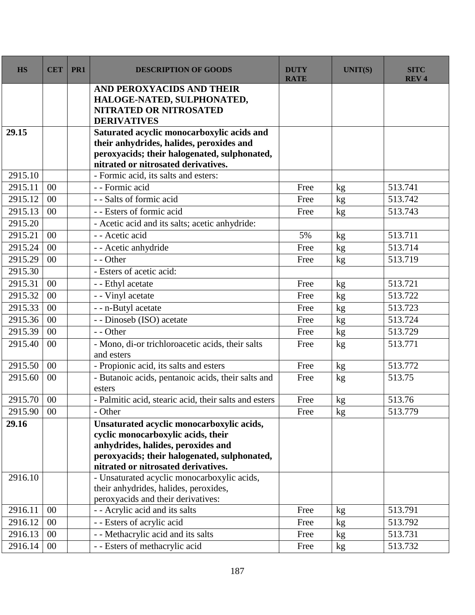| <b>HS</b> | <b>CET</b> | PR1 | <b>DESCRIPTION OF GOODS</b>                                                              | <b>DUTY</b><br><b>RATE</b> | <b>UNIT(S)</b> | <b>SITC</b><br><b>REV4</b> |
|-----------|------------|-----|------------------------------------------------------------------------------------------|----------------------------|----------------|----------------------------|
|           |            |     | AND PEROXYACIDS AND THEIR                                                                |                            |                |                            |
|           |            |     | HALOGE-NATED, SULPHONATED,                                                               |                            |                |                            |
|           |            |     | <b>NITRATED OR NITROSATED</b>                                                            |                            |                |                            |
|           |            |     | <b>DERIVATIVES</b>                                                                       |                            |                |                            |
| 29.15     |            |     | Saturated acyclic monocarboxylic acids and                                               |                            |                |                            |
|           |            |     | their anhydrides, halides, peroxides and<br>peroxyacids; their halogenated, sulphonated, |                            |                |                            |
|           |            |     | nitrated or nitrosated derivatives.                                                      |                            |                |                            |
| 2915.10   |            |     | - Formic acid, its salts and esters:                                                     |                            |                |                            |
| 2915.11   | 00         |     | - - Formic acid                                                                          | Free                       | kg             | 513.741                    |
| 2915.12   | 00         |     | - - Salts of formic acid                                                                 | Free                       | kg             | 513.742                    |
| 2915.13   | 00         |     | - - Esters of formic acid                                                                | Free                       | kg             | 513.743                    |
| 2915.20   |            |     | - Acetic acid and its salts; acetic anhydride:                                           |                            |                |                            |
| 2915.21   | 00         |     | - - Acetic acid                                                                          | 5%                         | kg             | 513.711                    |
| 2915.24   | 00         |     | - - Acetic anhydride                                                                     | Free                       | kg             | 513.714                    |
| 2915.29   | 00         |     | - - Other                                                                                | Free                       | kg             | 513.719                    |
| 2915.30   |            |     | - Esters of acetic acid:                                                                 |                            |                |                            |
| 2915.31   | 00         |     | - - Ethyl acetate                                                                        | Free                       | kg             | 513.721                    |
| 2915.32   | 00         |     | - - Vinyl acetate                                                                        | Free                       | kg             | 513.722                    |
| 2915.33   | 00         |     | - - n-Butyl acetate                                                                      | Free                       | kg             | 513.723                    |
| 2915.36   | 00         |     | - - Dinoseb (ISO) acetate                                                                | Free                       | kg             | 513.724                    |
| 2915.39   | 00         |     | - - Other                                                                                | Free                       | kg             | 513.729                    |
| 2915.40   | 00         |     | - Mono, di-or trichloroacetic acids, their salts                                         | Free                       | kg             | 513.771                    |
|           |            |     | and esters                                                                               |                            |                |                            |
| 2915.50   | 00         |     | - Propionic acid, its salts and esters                                                   | Free                       | kg             | 513.772                    |
| 2915.60   | 00         |     | - Butanoic acids, pentanoic acids, their salts and<br>esters                             | Free                       | kg             | 513.75                     |
| 2915.70   | 00         |     | - Palmitic acid, stearic acid, their salts and esters                                    | Free                       | kg             | 513.76                     |
| 2915.90   | $00\,$     |     | - Other                                                                                  | Free                       | kg             | 513.779                    |
| 29.16     |            |     | Unsaturated acyclic monocarboxylic acids,                                                |                            |                |                            |
|           |            |     | cyclic monocarboxylic acids, their                                                       |                            |                |                            |
|           |            |     | anhydrides, halides, peroxides and                                                       |                            |                |                            |
|           |            |     | peroxyacids; their halogenated, sulphonated,<br>nitrated or nitrosated derivatives.      |                            |                |                            |
| 2916.10   |            |     | - Unsaturated acyclic monocarboxylic acids,                                              |                            |                |                            |
|           |            |     | their anhydrides, halides, peroxides,                                                    |                            |                |                            |
|           |            |     | peroxyacids and their derivatives:                                                       |                            |                |                            |
| 2916.11   | 00         |     | - - Acrylic acid and its salts                                                           | Free                       | kg             | 513.791                    |
| 2916.12   | 00         |     | - - Esters of acrylic acid                                                               | Free                       | kg             | 513.792                    |
| 2916.13   | 00         |     | - - Methacrylic acid and its salts                                                       | Free                       | kg             | 513.731                    |
| 2916.14   | $00\,$     |     | - - Esters of methacrylic acid                                                           | Free                       | kg             | 513.732                    |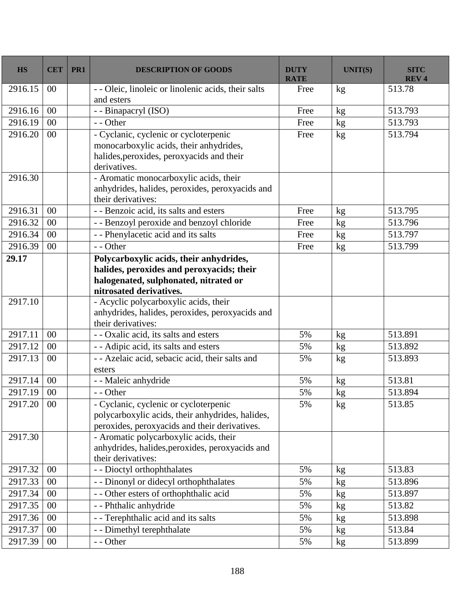| <b>HS</b> | <b>CET</b> | PR <sub>1</sub> | <b>DESCRIPTION OF GOODS</b>                                                                                                                              | <b>DUTY</b><br><b>RATE</b> | <b>UNIT(S)</b> | <b>SITC</b><br><b>REV4</b> |
|-----------|------------|-----------------|----------------------------------------------------------------------------------------------------------------------------------------------------------|----------------------------|----------------|----------------------------|
| 2916.15   | 00         |                 | - - Oleic, linoleic or linolenic acids, their salts<br>and esters                                                                                        | Free                       | kg             | 513.78                     |
| 2916.16   | 00         |                 | - - Binapacryl (ISO)                                                                                                                                     | Free                       | kg             | 513.793                    |
| 2916.19   | 00         |                 | - - Other                                                                                                                                                | Free                       | kg             | 513.793                    |
| 2916.20   | 00         |                 | - Cyclanic, cyclenic or cycloterpenic<br>monocarboxylic acids, their anhydrides,<br>halides, peroxides, peroxyacids and their<br>derivatives.            | Free                       | kg             | 513.794                    |
| 2916.30   |            |                 | - Aromatic monocarboxylic acids, their<br>anhydrides, halides, peroxides, peroxyacids and<br>their derivatives:                                          |                            |                |                            |
| 2916.31   | 00         |                 | - - Benzoic acid, its salts and esters                                                                                                                   | Free                       | kg             | 513.795                    |
| 2916.32   | 00         |                 | - - Benzoyl peroxide and benzoyl chloride                                                                                                                | Free                       | kg             | 513.796                    |
| 2916.34   | 00         |                 | - - Phenylacetic acid and its salts                                                                                                                      | Free                       | kg             | 513.797                    |
| 2916.39   | 00         |                 | - - Other                                                                                                                                                | Free                       | kg             | 513.799                    |
| 29.17     |            |                 | Polycarboxylic acids, their anhydrides,<br>halides, peroxides and peroxyacids; their<br>halogenated, sulphonated, nitrated or<br>nitrosated derivatives. |                            |                |                            |
| 2917.10   |            |                 | - Acyclic polycarboxylic acids, their<br>anhydrides, halides, peroxides, peroxyacids and<br>their derivatives:                                           |                            |                |                            |
| 2917.11   | 00         |                 | - - Oxalic acid, its salts and esters                                                                                                                    | 5%                         | kg             | 513.891                    |
| 2917.12   | 00         |                 | - - Adipic acid, its salts and esters                                                                                                                    | 5%                         | kg             | 513.892                    |
| 2917.13   | 00         |                 | - - Azelaic acid, sebacic acid, their salts and<br>esters                                                                                                | 5%                         | kg             | 513.893                    |
| 2917.14   | 00         |                 | - - Maleic anhydride                                                                                                                                     | 5%                         | $\mathrm{kg}$  | 513.81                     |
| 2917.19   | 00         |                 | - - Other                                                                                                                                                | 5%                         | kg             | 513.894                    |
| 2917.20   | $00\,$     |                 | Cyclanic, cyclenic or cycloterpenic<br>polycarboxylic acids, their anhydrides, halides,<br>peroxides, peroxyacids and their derivatives.                 | 5%                         | kg             | 513.85                     |
| 2917.30   |            |                 | - Aromatic polycarboxylic acids, their<br>anhydrides, halides, peroxides, peroxyacids and<br>their derivatives:                                          |                            |                |                            |
| 2917.32   | 00         |                 | - - Dioctyl orthophthalates                                                                                                                              | 5%                         | kg             | 513.83                     |
| 2917.33   | $00\,$     |                 | - - Dinonyl or didecyl orthophthalates                                                                                                                   | 5%                         | kg             | 513.896                    |
| 2917.34   | 00         |                 | - - Other esters of orthophthalic acid                                                                                                                   | 5%                         | kg             | 513.897                    |
| 2917.35   | 00         |                 | - - Phthalic anhydride                                                                                                                                   | 5%                         | kg             | 513.82                     |
| 2917.36   | $00\,$     |                 | - - Terephthalic acid and its salts                                                                                                                      | 5%                         | kg             | 513.898                    |
| 2917.37   | 00         |                 | - - Dimethyl terephthalate                                                                                                                               | 5%                         | kg             | 513.84                     |
| 2917.39   | 00         |                 | - - Other                                                                                                                                                | 5%                         | kg             | 513.899                    |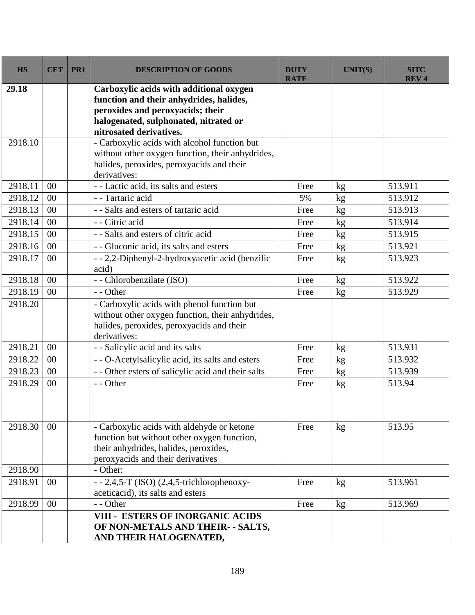| <b>HS</b> | <b>CET</b> | PR1 | <b>DESCRIPTION OF GOODS</b>                                                                                                                                                                | <b>DUTY</b><br><b>RATE</b> | <b>UNIT(S)</b> | <b>SITC</b><br><b>REV4</b> |
|-----------|------------|-----|--------------------------------------------------------------------------------------------------------------------------------------------------------------------------------------------|----------------------------|----------------|----------------------------|
| 29.18     |            |     | Carboxylic acids with additional oxygen<br>function and their anhydrides, halides,<br>peroxides and peroxyacids; their<br>halogenated, sulphonated, nitrated or<br>nitrosated derivatives. |                            |                |                            |
| 2918.10   |            |     | - Carboxylic acids with alcohol function but<br>without other oxygen function, their anhydrides,<br>halides, peroxides, peroxyacids and their<br>derivatives:                              |                            |                |                            |
| 2918.11   | 00         |     | - - Lactic acid, its salts and esters                                                                                                                                                      | Free                       | kg             | 513.911                    |
| 2918.12   | 00         |     | - - Tartaric acid                                                                                                                                                                          | 5%                         | kg             | 513.912                    |
| 2918.13   | $00\,$     |     | - - Salts and esters of tartaric acid                                                                                                                                                      | Free                       | kg             | 513.913                    |
| 2918.14   | 00         |     | - - Citric acid                                                                                                                                                                            | Free                       | kg             | 513.914                    |
| 2918.15   | 00         |     | - - Salts and esters of citric acid                                                                                                                                                        | Free                       | kg             | 513.915                    |
| 2918.16   | 00         |     | - - Gluconic acid, its salts and esters                                                                                                                                                    | Free                       | kg             | 513.921                    |
| 2918.17   | 00         |     | - - 2,2-Diphenyl-2-hydroxyacetic acid (benzilic<br>acid)                                                                                                                                   | Free                       | kg             | 513.923                    |
| 2918.18   | 00         |     | - - Chlorobenzilate (ISO)                                                                                                                                                                  | Free                       | kg             | 513.922                    |
| 2918.19   | 00         |     | - - Other                                                                                                                                                                                  | Free                       | kg             | 513.929                    |
| 2918.20   |            |     | - Carboxylic acids with phenol function but<br>without other oxygen function, their anhydrides,<br>halides, peroxides, peroxyacids and their<br>derivatives:                               |                            |                |                            |
| 2918.21   | 00         |     | - - Salicylic acid and its salts                                                                                                                                                           | Free                       | kg             | 513.931                    |
| 2918.22   | 00         |     | - - O-Acetylsalicylic acid, its salts and esters                                                                                                                                           | Free                       | kg             | 513.932                    |
| 2918.23   | 00         |     | - - Other esters of salicylic acid and their salts                                                                                                                                         | Free                       | kg             | 513.939                    |
| 2918.29   | 00         |     | - - Other                                                                                                                                                                                  | Free                       | kg             | 513.94                     |
| 2918.30   | $00\,$     |     | - Carboxylic acids with aldehyde or ketone<br>function but without other oxygen function,<br>their anhydrides, halides, peroxides,<br>peroxyacids and their derivatives                    | Free                       | kg             | 513.95                     |
| 2918.90   |            |     | - Other:                                                                                                                                                                                   |                            |                |                            |
| 2918.91   | $00\,$     |     | $-2,4,5$ -T (ISO) (2,4,5-trichlorophenoxy-<br>aceticacid), its salts and esters                                                                                                            | Free                       | kg             | 513.961                    |
| 2918.99   | 00         |     | - - Other                                                                                                                                                                                  | Free                       | kg             | 513.969                    |
|           |            |     | <b>VIII - ESTERS OF INORGANIC ACIDS</b>                                                                                                                                                    |                            |                |                            |
|           |            |     | OF NON-METALS AND THEIR- - SALTS,<br>AND THEIR HALOGENATED,                                                                                                                                |                            |                |                            |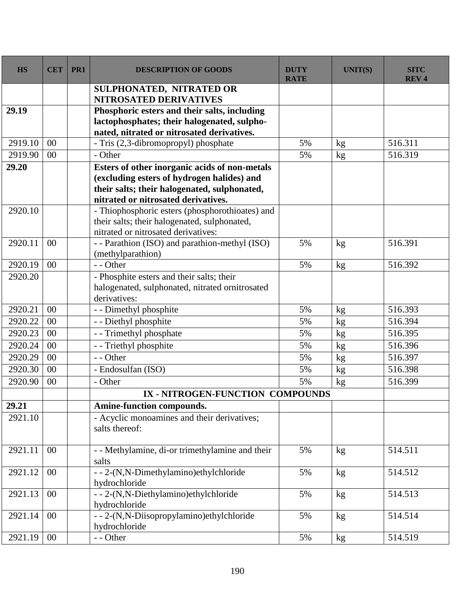| <b>HS</b> | <b>CET</b> | PR1 | <b>DESCRIPTION OF GOODS</b>                                                                     | <b>DUTY</b><br><b>RATE</b> | <b>UNIT(S)</b> | <b>SITC</b><br><b>REV4</b> |
|-----------|------------|-----|-------------------------------------------------------------------------------------------------|----------------------------|----------------|----------------------------|
|           |            |     | SULPHONATED, NITRATED OR                                                                        |                            |                |                            |
|           |            |     | <b>NITROSATED DERIVATIVES</b>                                                                   |                            |                |                            |
| 29.19     |            |     | Phosphoric esters and their salts, including                                                    |                            |                |                            |
|           |            |     | lactophosphates; their halogenated, sulpho-                                                     |                            |                |                            |
|           |            |     | nated, nitrated or nitrosated derivatives.                                                      |                            |                |                            |
| 2919.10   | 00         |     | - Tris (2,3-dibromopropyl) phosphate                                                            | 5%                         | kg             | 516.311                    |
| 2919.90   | 00         |     | - Other                                                                                         | 5%                         | kg             | 516.319                    |
| 29.20     |            |     | Esters of other inorganic acids of non-metals                                                   |                            |                |                            |
|           |            |     | (excluding esters of hydrogen halides) and                                                      |                            |                |                            |
|           |            |     | their salts; their halogenated, sulphonated,                                                    |                            |                |                            |
| 2920.10   |            |     | nitrated or nitrosated derivatives.                                                             |                            |                |                            |
|           |            |     | - Thiophosphoric esters (phosphorothioates) and<br>their salts; their halogenated, sulphonated, |                            |                |                            |
|           |            |     | nitrated or nitrosated derivatives:                                                             |                            |                |                            |
| 2920.11   | 00         |     | - - Parathion (ISO) and parathion-methyl (ISO)                                                  | 5%                         | kg             | 516.391                    |
|           |            |     | (methylparathion)                                                                               |                            |                |                            |
| 2920.19   | 00         |     | - - Other                                                                                       | 5%                         | kg             | 516.392                    |
| 2920.20   |            |     | - Phosphite esters and their salts; their                                                       |                            |                |                            |
|           |            |     | halogenated, sulphonated, nitrated ornitrosated                                                 |                            |                |                            |
|           |            |     | derivatives:                                                                                    |                            |                |                            |
| 2920.21   | 00         |     | - - Dimethyl phosphite                                                                          | 5%                         | kg             | 516.393                    |
| 2920.22   | 00         |     | - - Diethyl phosphite                                                                           | 5%                         | kg             | 516.394                    |
| 2920.23   | 00         |     | - - Trimethyl phosphate                                                                         | 5%                         | kg             | 516.395                    |
| 2920.24   | 00         |     | - - Triethyl phosphite                                                                          | 5%                         | kg             | 516.396                    |
| 2920.29   | 00         |     | - - Other                                                                                       | 5%                         | kg             | 516.397                    |
| 2920.30   | 00         |     | - Endosulfan (ISO)                                                                              | 5%                         | kg             | 516.398                    |
| 2920.90   | 00         |     | - Other                                                                                         | 5%                         | $\mathrm{kg}$  | 516.399                    |
|           |            |     | IX - NITROGEN-FUNCTION COMPOUNDS                                                                |                            |                |                            |
| 29.21     |            |     | Amine-function compounds.                                                                       |                            |                |                            |
| 2921.10   |            |     | - Acyclic monoamines and their derivatives;                                                     |                            |                |                            |
|           |            |     | salts thereof:                                                                                  |                            |                |                            |
|           |            |     |                                                                                                 |                            |                |                            |
| 2921.11   | $00\,$     |     | - - Methylamine, di-or trimethylamine and their                                                 | 5%                         | kg             | 514.511                    |
|           |            |     | salts                                                                                           |                            |                |                            |
| 2921.12   | $00\,$     |     | --2-(N,N-Dimethylamino)ethylchloride                                                            | 5%                         | kg             | 514.512                    |
|           |            |     | hydrochloride                                                                                   |                            |                |                            |
| 2921.13   | $00\,$     |     | --2-(N,N-Diethylamino)ethylchloride                                                             | 5%                         | kg             | 514.513                    |
|           |            |     | hydrochloride                                                                                   |                            |                |                            |
| 2921.14   | $00\,$     |     | --2-(N,N-Diisopropylamino)ethylchloride<br>hydrochloride                                        | 5%                         | kg             | 514.514                    |
| 2921.19   | 00         |     | - - Other                                                                                       | 5%                         |                | 514.519                    |
|           |            |     |                                                                                                 |                            | kg             |                            |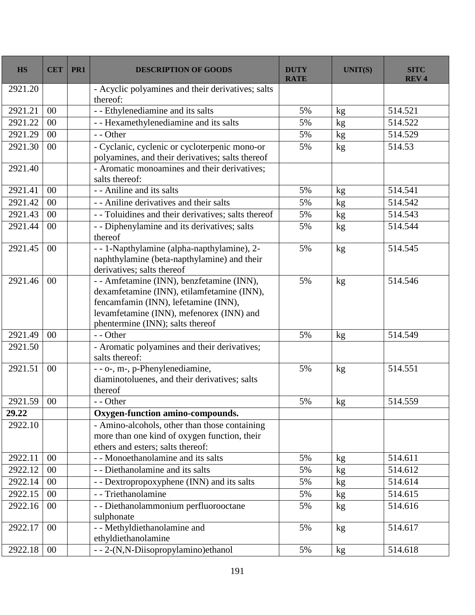| <b>HS</b> | <b>CET</b> | PR1 | <b>DESCRIPTION OF GOODS</b>                                                                                                                                                                                     | <b>DUTY</b><br><b>RATE</b> | <b>UNIT(S)</b> | <b>SITC</b><br><b>REV4</b> |
|-----------|------------|-----|-----------------------------------------------------------------------------------------------------------------------------------------------------------------------------------------------------------------|----------------------------|----------------|----------------------------|
| 2921.20   |            |     | - Acyclic polyamines and their derivatives; salts<br>thereof:                                                                                                                                                   |                            |                |                            |
| 2921.21   | 00         |     | - - Ethylenediamine and its salts                                                                                                                                                                               | 5%                         | kg             | 514.521                    |
| 2921.22   | 00         |     | - - Hexamethylenediamine and its salts                                                                                                                                                                          | 5%                         | kg             | 514.522                    |
| 2921.29   | 00         |     | - - Other                                                                                                                                                                                                       | 5%                         | kg             | 514.529                    |
| 2921.30   | 00         |     | - Cyclanic, cyclenic or cycloterpenic mono-or<br>polyamines, and their derivatives; salts thereof                                                                                                               | 5%                         | kg             | 514.53                     |
| 2921.40   |            |     | - Aromatic monoamines and their derivatives;<br>salts thereof:                                                                                                                                                  |                            |                |                            |
| 2921.41   | 00         |     | - - Aniline and its salts                                                                                                                                                                                       | 5%                         | kg             | 514.541                    |
| 2921.42   | 00         |     | - - Aniline derivatives and their salts                                                                                                                                                                         | 5%                         | kg             | 514.542                    |
| 2921.43   | 00         |     | - - Toluidines and their derivatives; salts thereof                                                                                                                                                             | 5%                         | kg             | 514.543                    |
| 2921.44   | 00         |     | - - Diphenylamine and its derivatives; salts<br>thereof                                                                                                                                                         | 5%                         | kg             | 514.544                    |
| 2921.45   | 00         |     | - - 1-Napthylamine (alpha-napthylamine), 2-<br>naphthylamine (beta-napthylamine) and their<br>derivatives; salts thereof                                                                                        | 5%                         | kg             | 514.545                    |
| 2921.46   | 00         |     | - - Amfetamine (INN), benzfetamine (INN),<br>dexamfetamine (INN), etilamfetamine (INN),<br>fencamfamin (INN), lefetamine (INN),<br>levamfetamine (INN), mefenorex (INN) and<br>phentermine (INN); salts thereof | 5%                         | kg             | 514.546                    |
| 2921.49   | 00         |     | - - Other                                                                                                                                                                                                       | 5%                         | kg             | 514.549                    |
| 2921.50   |            |     | - Aromatic polyamines and their derivatives;<br>salts thereof:                                                                                                                                                  |                            |                |                            |
| 2921.51   | 00         |     | - - o-, m-, p-Phenylenediamine,<br>diaminotoluenes, and their derivatives; salts<br>thereof                                                                                                                     | 5%                         | kg             | 514.551                    |
| 2921.59   | 00         |     | - - Other                                                                                                                                                                                                       | 5%                         | kg             | 514.559                    |
| 29.22     |            |     | Oxygen-function amino-compounds.                                                                                                                                                                                |                            |                |                            |
| 2922.10   |            |     | - Amino-alcohols, other than those containing<br>more than one kind of oxygen function, their<br>ethers and esters; salts thereof:                                                                              |                            |                |                            |
| 2922.11   | 00         |     | - - Monoethanolamine and its salts                                                                                                                                                                              | 5%                         | kg             | 514.611                    |
| 2922.12   | 00         |     | - - Diethanolamine and its salts                                                                                                                                                                                | 5%                         | kg             | 514.612                    |
| 2922.14   | 00         |     | - - Dextropropoxyphene (INN) and its salts                                                                                                                                                                      | 5%                         | kg             | 514.614                    |
| 2922.15   | 00         |     | - - Triethanolamine                                                                                                                                                                                             | 5%                         | kg             | 514.615                    |
| 2922.16   | $00\,$     |     | - - Diethanolammonium perfluorooctane<br>sulphonate                                                                                                                                                             | 5%                         | kg             | 514.616                    |
| 2922.17   | 00         |     | - - Methyldiethanolamine and<br>ethyldiethanolamine                                                                                                                                                             | 5%                         | kg             | 514.617                    |
| 2922.18   | 00         |     | --2-(N,N-Diisopropylamino)ethanol                                                                                                                                                                               | 5%                         | kg             | 514.618                    |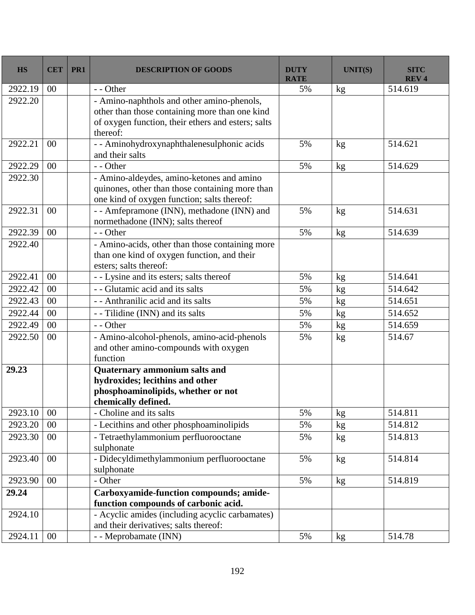| <b>HS</b> | <b>CET</b> | PR1 | <b>DESCRIPTION OF GOODS</b>                                                                                                                                    | <b>DUTY</b><br><b>RATE</b> | <b>UNIT(S)</b> | <b>SITC</b><br><b>REV4</b> |
|-----------|------------|-----|----------------------------------------------------------------------------------------------------------------------------------------------------------------|----------------------------|----------------|----------------------------|
| 2922.19   | 00         |     | - - Other                                                                                                                                                      | 5%                         | kg             | 514.619                    |
| 2922.20   |            |     | - Amino-naphthols and other amino-phenols,<br>other than those containing more than one kind<br>of oxygen function, their ethers and esters; salts<br>thereof: |                            |                |                            |
| 2922.21   | 00         |     | - - Aminohydroxynaphthalenesulphonic acids<br>and their salts                                                                                                  | 5%                         | kg             | 514.621                    |
| 2922.29   | 00         |     | - - Other                                                                                                                                                      | 5%                         | kg             | 514.629                    |
| 2922.30   |            |     | - Amino-aldeydes, amino-ketones and amino<br>quinones, other than those containing more than<br>one kind of oxygen function; salts thereof:                    |                            |                |                            |
| 2922.31   | 00         |     | - - Amfepramone (INN), methadone (INN) and<br>normethadone (INN); salts thereof                                                                                | 5%                         | kg             | 514.631                    |
| 2922.39   | $00\,$     |     | - - Other                                                                                                                                                      | 5%                         | kg             | 514.639                    |
| 2922.40   |            |     | - Amino-acids, other than those containing more<br>than one kind of oxygen function, and their<br>esters; salts thereof:                                       |                            |                |                            |
| 2922.41   | 00         |     | - - Lysine and its esters; salts thereof                                                                                                                       | 5%                         | kg             | 514.641                    |
| 2922.42   | 00         |     | - - Glutamic acid and its salts                                                                                                                                | 5%                         | kg             | 514.642                    |
| 2922.43   | 00         |     | - - Anthranilic acid and its salts                                                                                                                             | 5%                         | kg             | 514.651                    |
| 2922.44   | 00         |     | - Tilidine (INN) and its salts                                                                                                                                 | 5%                         | kg             | 514.652                    |
| 2922.49   | 00         |     | - - Other                                                                                                                                                      | 5%                         | kg             | 514.659                    |
| 2922.50   | 00         |     | - Amino-alcohol-phenols, amino-acid-phenols<br>and other amino-compounds with oxygen<br>function                                                               | 5%                         | kg             | 514.67                     |
| 29.23     |            |     | Quaternary ammonium salts and<br>hydroxides; lecithins and other<br>phosphoaminolipids, whether or not<br>chemically defined.                                  |                            |                |                            |
| 2923.10   | 00         |     | - Choline and its salts                                                                                                                                        | 5%                         | kg             | 514.811                    |
| 2923.20   | $00\,$     |     | - Lecithins and other phosphoaminolipids                                                                                                                       | 5%                         | kg             | 514.812                    |
| 2923.30   | $00\,$     |     | - Tetraethylammonium perfluorooctane<br>sulphonate                                                                                                             | 5%                         | kg             | 514.813                    |
| 2923.40   | $00\,$     |     | - Didecyldimethylammonium perfluorooctane<br>sulphonate                                                                                                        | 5%                         | kg             | 514.814                    |
| 2923.90   | $00\,$     |     | - Other                                                                                                                                                        | 5%                         | kg             | 514.819                    |
| 29.24     |            |     | Carboxyamide-function compounds; amide-<br>function compounds of carbonic acid.                                                                                |                            |                |                            |
| 2924.10   |            |     | - Acyclic amides (including acyclic carbamates)<br>and their derivatives; salts thereof:                                                                       |                            |                |                            |
| 2924.11   | 00         |     | - - Meprobamate (INN)                                                                                                                                          | 5%                         | kg             | 514.78                     |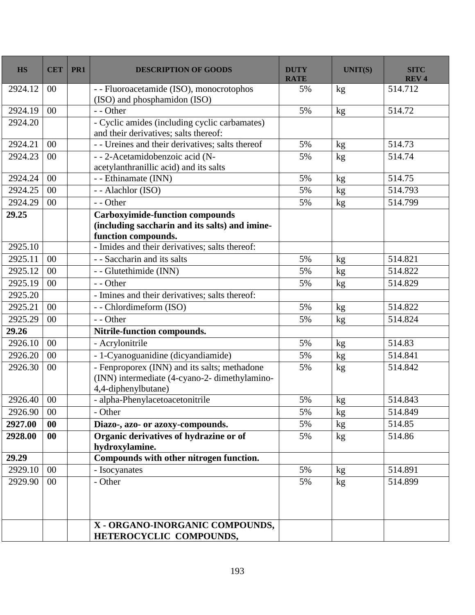| <b>HS</b> | <b>CET</b> | PR1 | <b>DESCRIPTION OF GOODS</b>                                                                                          | <b>DUTY</b><br><b>RATE</b> | <b>UNIT(S)</b> | <b>SITC</b><br><b>REV4</b> |
|-----------|------------|-----|----------------------------------------------------------------------------------------------------------------------|----------------------------|----------------|----------------------------|
| 2924.12   | 00         |     | - - Fluoroacetamide (ISO), monocrotophos<br>(ISO) and phosphamidon (ISO)                                             | 5%                         | kg             | 514.712                    |
| 2924.19   | 00         |     | - - Other                                                                                                            | 5%                         | kg             | 514.72                     |
| 2924.20   |            |     | - Cyclic amides (including cyclic carbamates)<br>and their derivatives; salts thereof:                               |                            |                |                            |
| 2924.21   | 00         |     | - - Ureines and their derivatives; salts thereof                                                                     | 5%                         | kg             | 514.73                     |
| 2924.23   | 00         |     | - - 2-Acetamidobenzoic acid (N-                                                                                      | 5%                         | kg             | 514.74                     |
|           |            |     | acetylanthranillic acid) and its salts                                                                               |                            |                |                            |
| 2924.24   | 00         |     | - - Ethinamate (INN)                                                                                                 | 5%                         | kg             | 514.75                     |
| 2924.25   | 00         |     | - - Alachlor (ISO)                                                                                                   | 5%                         | kg             | 514.793                    |
| 2924.29   | 00         |     | - - Other                                                                                                            | 5%                         | kg             | 514.799                    |
| 29.25     |            |     | <b>Carboxyimide-function compounds</b>                                                                               |                            |                |                            |
|           |            |     | (including saccharin and its salts) and imine-                                                                       |                            |                |                            |
|           |            |     | function compounds.                                                                                                  |                            |                |                            |
| 2925.10   |            |     | - Imides and their derivatives; salts thereof:                                                                       |                            |                |                            |
| 2925.11   | 00         |     | - - Saccharin and its salts                                                                                          | 5%                         | kg             | 514.821                    |
| 2925.12   | 00         |     | - - Glutethimide (INN)                                                                                               | 5%                         | kg             | 514.822                    |
| 2925.19   | 00         |     | - - Other                                                                                                            | 5%                         | kg             | 514.829                    |
| 2925.20   |            |     | - Imines and their derivatives; salts thereof:                                                                       |                            |                |                            |
| 2925.21   | 00         |     | - - Chlordimeform (ISO)                                                                                              | 5%                         | kg             | 514.822                    |
| 2925.29   | 00         |     | - - Other                                                                                                            | 5%                         | kg             | 514.824                    |
| 29.26     |            |     | Nitrile-function compounds.                                                                                          |                            |                |                            |
| 2926.10   | 00         |     | - Acrylonitrile                                                                                                      | 5%                         | kg             | 514.83                     |
| 2926.20   | 00         |     | - 1-Cyanoguanidine (dicyandiamide)                                                                                   | 5%                         | kg             | 514.841                    |
| 2926.30   | 00         |     | - Fenproporex (INN) and its salts; methadone<br>(INN) intermediate (4-cyano-2- dimethylamino-<br>4,4-diphenylbutane) | 5%                         | kg             | 514.842                    |
| 2926.40   | 00         |     | - alpha-Phenylacetoacetonitrile                                                                                      | 5%                         | kg             | 514.843                    |
| 2926.90   | $00\,$     |     | - Other                                                                                                              | 5%                         | kg             | 514.849                    |
| 2927.00   | $\bf{00}$  |     | Diazo-, azo- or azoxy-compounds.                                                                                     | 5%                         | kg             | 514.85                     |
| 2928.00   | 00         |     | Organic derivatives of hydrazine or of<br>hydroxylamine.                                                             | 5%                         | kg             | 514.86                     |
| 29.29     |            |     | Compounds with other nitrogen function.                                                                              |                            |                |                            |
| 2929.10   | 00         |     | - Isocyanates                                                                                                        | 5%                         | kg             | 514.891                    |
| 2929.90   | 00         |     | - Other                                                                                                              | 5%                         | kg             | 514.899                    |
|           |            |     |                                                                                                                      |                            |                |                            |
|           |            |     | X - ORGANO-INORGANIC COMPOUNDS,<br>HETEROCYCLIC COMPOUNDS,                                                           |                            |                |                            |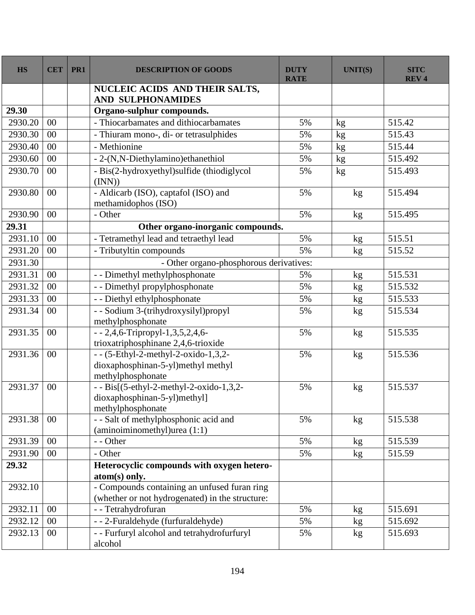| <b>HS</b> | <b>CET</b> | PR <sub>1</sub> | <b>DESCRIPTION OF GOODS</b>                                                                       | <b>DUTY</b><br><b>RATE</b> | <b>UNIT(S)</b> | <b>SITC</b><br><b>REV4</b> |
|-----------|------------|-----------------|---------------------------------------------------------------------------------------------------|----------------------------|----------------|----------------------------|
|           |            |                 | NUCLEIC ACIDS AND THEIR SALTS,<br><b>AND SULPHONAMIDES</b>                                        |                            |                |                            |
| 29.30     |            |                 | Organo-sulphur compounds.                                                                         |                            |                |                            |
| 2930.20   | 00         |                 | - Thiocarbamates and dithiocarbamates                                                             | 5%                         | kg             | 515.42                     |
| 2930.30   | 00         |                 | - Thiuram mono-, di- or tetrasulphides                                                            | 5%                         | kg             | 515.43                     |
| 2930.40   | 00         |                 | - Methionine                                                                                      | 5%                         | kg             | 515.44                     |
| 2930.60   | 00         |                 | - 2-(N,N-Diethylamino)ethanethiol                                                                 | 5%                         | kg             | 515.492                    |
| 2930.70   | 00         |                 | - Bis(2-hydroxyethyl) sulfide (thiodiglycol<br>(INN))                                             | 5%                         | kg             | 515.493                    |
| 2930.80   | 00         |                 | - Aldicarb (ISO), captafol (ISO) and<br>methamidophos (ISO)                                       | 5%                         | kg             | 515.494                    |
| 2930.90   | 00         |                 | - Other                                                                                           | 5%                         | kg             | 515.495                    |
| 29.31     |            |                 | Other organo-inorganic compounds.                                                                 |                            |                |                            |
| 2931.10   | 00         |                 | - Tetramethyl lead and tetraethyl lead                                                            | 5%                         | kg             | 515.51                     |
| 2931.20   | 00         |                 | - Tributyltin compounds                                                                           | 5%                         | kg             | 515.52                     |
| 2931.30   |            |                 | - Other organo-phosphorous derivatives:                                                           |                            |                |                            |
| 2931.31   | 00         |                 | - - Dimethyl methylphosphonate                                                                    | 5%                         | kg             | 515.531                    |
| 2931.32   | 00         |                 | - - Dimethyl propylphosphonate                                                                    | 5%                         | kg             | 515.532                    |
| 2931.33   | 00         |                 | - - Diethyl ethylphosphonate                                                                      | 5%                         | kg             | $\overline{515.533}$       |
| 2931.34   | 00         |                 | - - Sodium 3-(trihydroxysilyl)propyl<br>methylphosphonate                                         | 5%                         | kg             | 515.534                    |
| 2931.35   | 00         |                 | - - 2,4,6-Tripropyl-1,3,5,2,4,6-<br>trioxatriphosphinane 2,4,6-trioxide                           | 5%                         | kg             | 515.535                    |
| 2931.36   | 00         |                 | $-$ - (5-Ethyl-2-methyl-2-oxido-1,3,2-<br>dioxaphosphinan-5-yl)methyl methyl<br>methylphosphonate | 5%                         | kg             | 515.536                    |
| 2931.37   | 00         |                 | $-$ - Bis[(5-ethyl-2-methyl-2-oxido-1,3,2-<br>dioxaphosphinan-5-yl)methyl]<br>methylphosphonate   | 5%                         | kg             | 515.537                    |
| 2931.38   | 00         |                 | - - Salt of methylphosphonic acid and<br>(aminoiminomethyl)urea (1:1)                             | 5%                         | kg             | 515.538                    |
| 2931.39   | 00         |                 | - - Other                                                                                         | 5%                         | kg             | 515.539                    |
| 2931.90   | 00         |                 | - Other                                                                                           | 5%                         | kg             | 515.59                     |
| 29.32     |            |                 | Heterocyclic compounds with oxygen hetero-<br>atom(s) only.                                       |                            |                |                            |
| 2932.10   |            |                 | - Compounds containing an unfused furan ring<br>(whether or not hydrogenated) in the structure:   |                            |                |                            |
| 2932.11   | 00         |                 | - - Tetrahydrofuran                                                                               | 5%                         | kg             | 515.691                    |
| 2932.12   | 00         |                 | --2-Furaldehyde (furfuraldehyde)                                                                  | 5%                         | kg             | 515.692                    |
| 2932.13   | $00\,$     |                 | - - Furfuryl alcohol and tetrahydrofurfuryl<br>alcohol                                            | 5%                         | kg             | 515.693                    |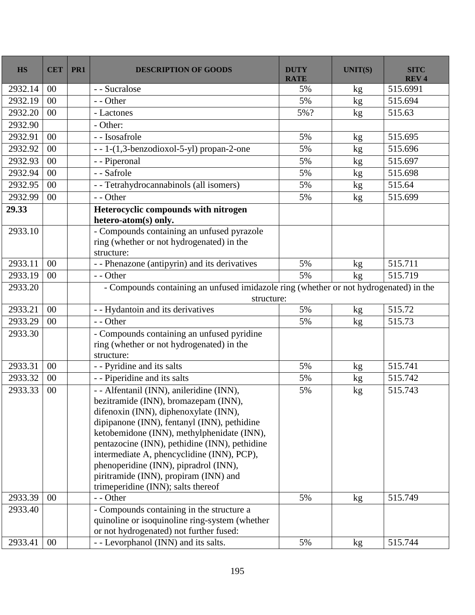| <b>HS</b>        | <b>CET</b> | PR1 | <b>DESCRIPTION OF GOODS</b>                                                                                                                                                                                                                                                                                                                                                                                                                   | <b>DUTY</b><br><b>RATE</b> | <b>UNIT(S)</b>  | <b>SITC</b><br><b>REV4</b> |
|------------------|------------|-----|-----------------------------------------------------------------------------------------------------------------------------------------------------------------------------------------------------------------------------------------------------------------------------------------------------------------------------------------------------------------------------------------------------------------------------------------------|----------------------------|-----------------|----------------------------|
| 2932.14          | 00         |     | - - Sucralose                                                                                                                                                                                                                                                                                                                                                                                                                                 | 5%                         | kg              | 515.6991                   |
| 2932.19          | 00         |     | - - Other                                                                                                                                                                                                                                                                                                                                                                                                                                     | 5%                         | kg              | 515.694                    |
| 2932.20          | 00         |     | - Lactones                                                                                                                                                                                                                                                                                                                                                                                                                                    | 5%?                        | kg              | 515.63                     |
| 2932.90          |            |     | - Other:                                                                                                                                                                                                                                                                                                                                                                                                                                      |                            |                 |                            |
| 2932.91          | 00         |     | - - Isosafrole                                                                                                                                                                                                                                                                                                                                                                                                                                | 5%                         | $\mathrm{kg}$   | 515.695                    |
| 2932.92          | 00         |     | --1-(1,3-benzodioxol-5-yl) propan-2-one                                                                                                                                                                                                                                                                                                                                                                                                       | 5%                         | kg              | 515.696                    |
| 2932.93          | 00         |     | - - Piperonal                                                                                                                                                                                                                                                                                                                                                                                                                                 | 5%                         | kg              | 515.697                    |
| 2932.94          | 00         |     | - - Safrole                                                                                                                                                                                                                                                                                                                                                                                                                                   | 5%                         | kg              | 515.698                    |
| 2932.95          | 00         |     | - - Tetrahydrocannabinols (all isomers)                                                                                                                                                                                                                                                                                                                                                                                                       | 5%                         | kg              | 515.64                     |
| 2932.99          | 00         |     | - - Other                                                                                                                                                                                                                                                                                                                                                                                                                                     | 5%                         | kg              | 515.699                    |
| 29.33<br>2933.10 |            |     | Heterocyclic compounds with nitrogen<br>hetero-atom(s) only.<br>- Compounds containing an unfused pyrazole<br>ring (whether or not hydrogenated) in the                                                                                                                                                                                                                                                                                       |                            |                 |                            |
|                  |            |     | structure:                                                                                                                                                                                                                                                                                                                                                                                                                                    |                            |                 |                            |
| 2933.11          | 00         |     | - - Phenazone (antipyrin) and its derivatives                                                                                                                                                                                                                                                                                                                                                                                                 | 5%                         | kg              | 515.711                    |
| 2933.19          | 00         |     | - - Other                                                                                                                                                                                                                                                                                                                                                                                                                                     | 5%                         | kg              | 515.719                    |
| 2933.20          |            |     | - Compounds containing an unfused imidazole ring (whether or not hydrogenated) in the<br>structure:                                                                                                                                                                                                                                                                                                                                           |                            |                 |                            |
| 2933.21          | 00         |     | - - Hydantoin and its derivatives                                                                                                                                                                                                                                                                                                                                                                                                             | 5%                         | kg              | 515.72                     |
| 2933.29          | 00         |     | - - Other                                                                                                                                                                                                                                                                                                                                                                                                                                     | 5%                         | kg              | 515.73                     |
| 2933.30          |            |     | - Compounds containing an unfused pyridine<br>ring (whether or not hydrogenated) in the<br>structure:                                                                                                                                                                                                                                                                                                                                         |                            |                 |                            |
| 2933.31          | 00         |     | - - Pyridine and its salts                                                                                                                                                                                                                                                                                                                                                                                                                    | 5%                         | kg              | 515.741                    |
| 2933.32          | 00         |     | - - Piperidine and its salts                                                                                                                                                                                                                                                                                                                                                                                                                  | 5%                         | kg              | 515.742                    |
| 2933.33          | 00         |     | - - Alfentanil (INN), anileridine (INN),<br>bezitramide (INN), bromazepam (INN),<br>difenoxin (INN), diphenoxylate (INN),<br>dipipanone (INN), fentanyl (INN), pethidine<br>ketobemidone (INN), methylphenidate (INN),<br>pentazocine (INN), pethidine (INN), pethidine<br>intermediate A, phencyclidine (INN), PCP),<br>phenoperidine (INN), pipradrol (INN),<br>piritramide (INN), propiram (INN) and<br>trimeperidine (INN); salts thereof | 5%                         | kg              | 515.743                    |
| 2933.39          | 00         |     | - - Other                                                                                                                                                                                                                                                                                                                                                                                                                                     | 5%                         | kg              | 515.749                    |
| 2933.40          |            |     | - Compounds containing in the structure a<br>quinoline or isoquinoline ring-system (whether<br>or not hydrogenated) not further fused:                                                                                                                                                                                                                                                                                                        |                            |                 |                            |
| 2933.41          | 00         |     | - - Levorphanol (INN) and its salts.                                                                                                                                                                                                                                                                                                                                                                                                          | 5%                         | kg <sub>2</sub> | 515.744                    |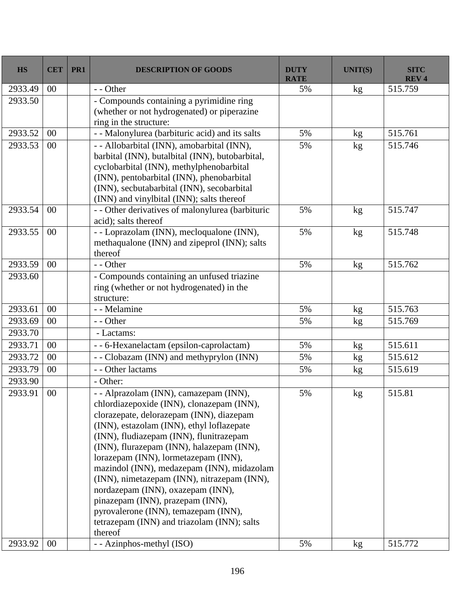| <b>HS</b> | <b>CET</b> | PR1 | <b>DESCRIPTION OF GOODS</b>                                                                                                                                                                                                                                                                                                                                                                                                                                                                                                                                                          | <b>DUTY</b><br><b>RATE</b> | <b>UNIT(S)</b>  | <b>SITC</b><br><b>REV4</b> |
|-----------|------------|-----|--------------------------------------------------------------------------------------------------------------------------------------------------------------------------------------------------------------------------------------------------------------------------------------------------------------------------------------------------------------------------------------------------------------------------------------------------------------------------------------------------------------------------------------------------------------------------------------|----------------------------|-----------------|----------------------------|
| 2933.49   | 00         |     | - - Other                                                                                                                                                                                                                                                                                                                                                                                                                                                                                                                                                                            | 5%                         | kg              | 515.759                    |
| 2933.50   |            |     | - Compounds containing a pyrimidine ring<br>(whether or not hydrogenated) or piperazine<br>ring in the structure:                                                                                                                                                                                                                                                                                                                                                                                                                                                                    |                            |                 |                            |
| 2933.52   | 00         |     | - - Malonylurea (barbituric acid) and its salts                                                                                                                                                                                                                                                                                                                                                                                                                                                                                                                                      | 5%                         | kg              | 515.761                    |
| 2933.53   | 00         |     | - - Allobarbital (INN), amobarbital (INN),<br>barbital (INN), butalbital (INN), butobarbital,<br>cyclobarbital (INN), methylphenobarbital<br>(INN), pentobarbital (INN), phenobarbital<br>(INN), secbutabarbital (INN), secobarbital<br>(INN) and vinylbital (INN); salts thereof                                                                                                                                                                                                                                                                                                    | 5%                         | kg              | 515.746                    |
| 2933.54   | 00         |     | - - Other derivatives of malonylurea (barbituric<br>acid); salts thereof                                                                                                                                                                                                                                                                                                                                                                                                                                                                                                             | 5%                         | kg              | 515.747                    |
| 2933.55   | 00         |     | - - Loprazolam (INN), mecloqualone (INN),<br>methaqualone (INN) and zipeprol (INN); salts<br>thereof                                                                                                                                                                                                                                                                                                                                                                                                                                                                                 | 5%                         | kg              | 515.748                    |
| 2933.59   | 00         |     | - - Other                                                                                                                                                                                                                                                                                                                                                                                                                                                                                                                                                                            | 5%                         | kg              | 515.762                    |
| 2933.60   |            |     | - Compounds containing an unfused triazine<br>ring (whether or not hydrogenated) in the<br>structure:                                                                                                                                                                                                                                                                                                                                                                                                                                                                                |                            |                 |                            |
| 2933.61   | 00         |     | - - Melamine                                                                                                                                                                                                                                                                                                                                                                                                                                                                                                                                                                         | 5%                         | kg              | 515.763                    |
| 2933.69   | 00         |     | - - Other                                                                                                                                                                                                                                                                                                                                                                                                                                                                                                                                                                            | 5%                         | kg              | 515.769                    |
| 2933.70   |            |     | - Lactams:                                                                                                                                                                                                                                                                                                                                                                                                                                                                                                                                                                           |                            |                 |                            |
| 2933.71   | 00         |     | - - 6-Hexanelactam (epsilon-caprolactam)                                                                                                                                                                                                                                                                                                                                                                                                                                                                                                                                             | 5%                         | kg              | 515.611                    |
| 2933.72   | 00         |     | - - Clobazam (INN) and methyprylon (INN)                                                                                                                                                                                                                                                                                                                                                                                                                                                                                                                                             | 5%                         | kg              | 515.612                    |
| 2933.79   | 00         |     | - - Other lactams                                                                                                                                                                                                                                                                                                                                                                                                                                                                                                                                                                    | 5%                         | kg              | 515.619                    |
| 2933.90   |            |     | - Other:                                                                                                                                                                                                                                                                                                                                                                                                                                                                                                                                                                             |                            |                 |                            |
| 2933.91   | 00         |     | - - Alprazolam (INN), camazepam (INN),<br>chlordiazepoxide (INN), clonazepam (INN),<br>clorazepate, delorazepam (INN), diazepam<br>(INN), estazolam (INN), ethyl loflazepate<br>(INN), fludiazepam (INN), flunitrazepam<br>(INN), flurazepam (INN), halazepam (INN),<br>lorazepam (INN), lormetazepam (INN),<br>mazindol (INN), medazepam (INN), midazolam<br>(INN), nimetazepam (INN), nitrazepam (INN),<br>nordazepam (INN), oxazepam (INN),<br>pinazepam (INN), prazepam (INN),<br>pyrovalerone (INN), temazepam (INN),<br>tetrazepam (INN) and triazolam (INN); salts<br>thereof | 5%                         | kg              | 515.81                     |
| 2933.92   | $00\,$     |     | - - Azinphos-methyl (ISO)                                                                                                                                                                                                                                                                                                                                                                                                                                                                                                                                                            | 5%                         | kg <sub>2</sub> | 515.772                    |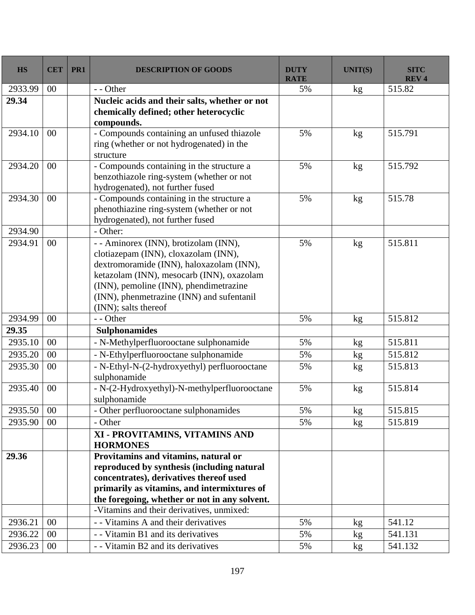| <b>HS</b> | <b>CET</b> | PR1 | <b>DESCRIPTION OF GOODS</b>                                                                                                                                                                                                                                                           | <b>DUTY</b><br><b>RATE</b> | <b>UNIT(S)</b> | <b>SITC</b><br><b>REV4</b> |
|-----------|------------|-----|---------------------------------------------------------------------------------------------------------------------------------------------------------------------------------------------------------------------------------------------------------------------------------------|----------------------------|----------------|----------------------------|
| 2933.99   | 00         |     | - - Other                                                                                                                                                                                                                                                                             | 5%                         | kg             | 515.82                     |
| 29.34     |            |     | Nucleic acids and their salts, whether or not<br>chemically defined; other heterocyclic<br>compounds.                                                                                                                                                                                 |                            |                |                            |
| 2934.10   | 00         |     | - Compounds containing an unfused thiazole<br>ring (whether or not hydrogenated) in the<br>structure                                                                                                                                                                                  | 5%                         | kg             | 515.791                    |
| 2934.20   | 00         |     | - Compounds containing in the structure a<br>benzothiazole ring-system (whether or not<br>hydrogenated), not further fused                                                                                                                                                            | 5%                         | kg             | 515.792                    |
| 2934.30   | 00         |     | - Compounds containing in the structure a<br>phenothiazine ring-system (whether or not<br>hydrogenated), not further fused                                                                                                                                                            | 5%                         | kg             | 515.78                     |
| 2934.90   |            |     | - Other:                                                                                                                                                                                                                                                                              |                            |                |                            |
| 2934.91   | 00         |     | - - Aminorex (INN), brotizolam (INN),<br>clotiazepam (INN), cloxazolam (INN),<br>dextromoramide (INN), haloxazolam (INN),<br>ketazolam (INN), mesocarb (INN), oxazolam<br>(INN), pemoline (INN), phendimetrazine<br>(INN), phenmetrazine (INN) and sufentanil<br>(INN); salts thereof | 5%                         | kg             | 515.811                    |
| 2934.99   | 00         |     | - - Other                                                                                                                                                                                                                                                                             | 5%                         | kg             | 515.812                    |
| 29.35     |            |     | <b>Sulphonamides</b>                                                                                                                                                                                                                                                                  |                            |                |                            |
| 2935.10   | 00         |     | - N-Methylperfluorooctane sulphonamide                                                                                                                                                                                                                                                | 5%                         | kg             | 515.811                    |
| 2935.20   | 00         |     | - N-Ethylperfluorooctane sulphonamide                                                                                                                                                                                                                                                 | 5%                         | kg             | 515.812                    |
| 2935.30   | 00         |     | - N-Ethyl-N-(2-hydroxyethyl) perfluorooctane<br>sulphonamide                                                                                                                                                                                                                          | 5%                         | kg             | 515.813                    |
| 2935.40   | 00         |     | - N-(2-Hydroxyethyl)-N-methylperfluorooctane<br>sulphonamide                                                                                                                                                                                                                          | 5%                         | kg             | 515.814                    |
| 2935.50   | $00\,$     |     | - Other perfluorooctane sulphonamides                                                                                                                                                                                                                                                 | 5%                         | kg             | 515.815                    |
| 2935.90   | 00         |     | - Other                                                                                                                                                                                                                                                                               | 5%                         | kg             | 515.819                    |
|           |            |     | XI - PROVITAMINS, VITAMINS AND<br><b>HORMONES</b>                                                                                                                                                                                                                                     |                            |                |                            |
| 29.36     |            |     | Provitamins and vitamins, natural or<br>reproduced by synthesis (including natural<br>concentrates), derivatives thereof used<br>primarily as vitamins, and intermixtures of<br>the foregoing, whether or not in any solvent.<br>-Vitamins and their derivatives, unmixed:            |                            |                |                            |
| 2936.21   | $00\,$     |     | - - Vitamins A and their derivatives                                                                                                                                                                                                                                                  | 5%                         |                | 541.12                     |
| 2936.22   | 00         |     | - - Vitamin B1 and its derivatives                                                                                                                                                                                                                                                    | 5%                         | kg             | 541.131                    |
|           |            |     | - - Vitamin B2 and its derivatives                                                                                                                                                                                                                                                    |                            | kg             | 541.132                    |
| 2936.23   | $00\,$     |     |                                                                                                                                                                                                                                                                                       | 5%                         | kg             |                            |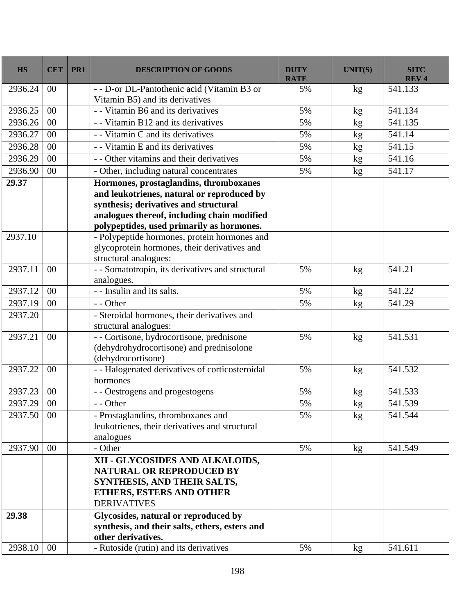| <b>HS</b> | <b>CET</b> | PR1 | <b>DESCRIPTION OF GOODS</b>                                                                                                                         | <b>DUTY</b><br><b>RATE</b> | <b>UNIT(S)</b> | <b>SITC</b><br><b>REV4</b> |
|-----------|------------|-----|-----------------------------------------------------------------------------------------------------------------------------------------------------|----------------------------|----------------|----------------------------|
| 2936.24   | $00\,$     |     | - - D-or DL-Pantothenic acid (Vitamin B3 or<br>Vitamin B5) and its derivatives                                                                      | 5%                         | kg             | 541.133                    |
| 2936.25   | 00         |     | - - Vitamin B6 and its derivatives                                                                                                                  | 5%                         | kg             | 541.134                    |
| 2936.26   | 00         |     | - - Vitamin B12 and its derivatives                                                                                                                 | 5%                         | kg             | 541.135                    |
| 2936.27   | 00         |     | - Vitamin C and its derivatives                                                                                                                     | 5%                         | kg             | 541.14                     |
| 2936.28   | 00         |     | - - Vitamin E and its derivatives                                                                                                                   | 5%                         | kg             | 541.15                     |
| 2936.29   | 00         |     | - - Other vitamins and their derivatives                                                                                                            | 5%                         | kg             | 541.16                     |
| 2936.90   | 00         |     | - Other, including natural concentrates                                                                                                             | 5%                         | kg             | 541.17                     |
| 29.37     |            |     | Hormones, prostaglandins, thromboxanes                                                                                                              |                            |                |                            |
|           |            |     | and leukotrienes, natural or reproduced by                                                                                                          |                            |                |                            |
|           |            |     | synthesis; derivatives and structural                                                                                                               |                            |                |                            |
|           |            |     | analogues thereof, including chain modified                                                                                                         |                            |                |                            |
|           |            |     | polypeptides, used primarily as hormones.                                                                                                           |                            |                |                            |
| 2937.10   |            |     | - Polypeptide hormones, protein hormones and                                                                                                        |                            |                |                            |
|           |            |     | glycoprotein hormones, their derivatives and                                                                                                        |                            |                |                            |
|           |            |     | structural analogues:                                                                                                                               |                            |                |                            |
| 2937.11   | 00         |     | - - Somatotropin, its derivatives and structural                                                                                                    | 5%                         | kg             | 541.21                     |
|           |            |     | analogues.                                                                                                                                          |                            |                |                            |
| 2937.12   | 00         |     | - - Insulin and its salts.                                                                                                                          | 5%                         | kg             | 541.22                     |
| 2937.19   | 00         |     | - - Other                                                                                                                                           | 5%                         | kg             | 541.29                     |
| 2937.20   |            |     | - Steroidal hormones, their derivatives and<br>structural analogues:                                                                                |                            |                |                            |
| 2937.21   | 00         |     | - - Cortisone, hydrocortisone, prednisone<br>(dehydrohydrocortisone) and prednisolone<br>(dehydrocortisone)                                         | 5%                         | kg             | 541.531                    |
| 2937.22   | 00         |     | - - Halogenated derivatives of corticosteroidal<br>hormones                                                                                         | 5%                         | kg             | 541.532                    |
| 2937.23   | 00         |     | - - Oestrogens and progestogens                                                                                                                     | 5%                         | kg             | 541.533                    |
| 2937.29   | $00\,$     |     | $-$ - Other                                                                                                                                         | 5%                         | $\mathrm{kg}$  | 541.539                    |
| 2937.50   | $00\,$     |     | - Prostaglandins, thromboxanes and<br>leukotrienes, their derivatives and structural<br>analogues                                                   | 5%                         | kg             | 541.544                    |
| 2937.90   | $00\,$     |     | - Other                                                                                                                                             | 5%                         | kg             | 541.549                    |
|           |            |     | XII - GLYCOSIDES AND ALKALOIDS,<br><b>NATURAL OR REPRODUCED BY</b><br>SYNTHESIS, AND THEIR SALTS,<br>ETHERS, ESTERS AND OTHER<br><b>DERIVATIVES</b> |                            |                |                            |
| 29.38     |            |     | Glycosides, natural or reproduced by                                                                                                                |                            |                |                            |
|           |            |     | synthesis, and their salts, ethers, esters and<br>other derivatives.                                                                                |                            |                |                            |
| 2938.10   | $00\,$     |     | - Rutoside (rutin) and its derivatives                                                                                                              | 5%                         | kg             | 541.611                    |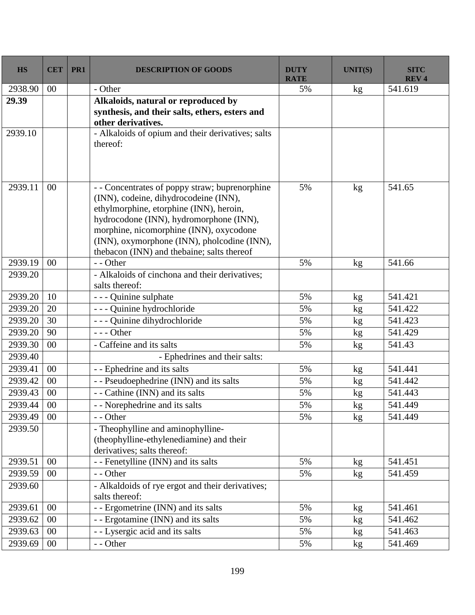| <b>HS</b> | <b>CET</b> | PR1 | <b>DESCRIPTION OF GOODS</b>                                                                                                                                                                                                                                                                                           | <b>DUTY</b><br><b>RATE</b> | <b>UNIT(S)</b>  | <b>SITC</b><br><b>REV4</b> |
|-----------|------------|-----|-----------------------------------------------------------------------------------------------------------------------------------------------------------------------------------------------------------------------------------------------------------------------------------------------------------------------|----------------------------|-----------------|----------------------------|
| 2938.90   | 00         |     | - Other                                                                                                                                                                                                                                                                                                               | 5%                         | kg              | 541.619                    |
| 29.39     |            |     | Alkaloids, natural or reproduced by<br>synthesis, and their salts, ethers, esters and<br>other derivatives.                                                                                                                                                                                                           |                            |                 |                            |
| 2939.10   |            |     | - Alkaloids of opium and their derivatives; salts<br>thereof:                                                                                                                                                                                                                                                         |                            |                 |                            |
| 2939.11   | 00         |     | - - Concentrates of poppy straw; buprenorphine<br>(INN), codeine, dihydrocodeine (INN),<br>ethylmorphine, etorphine (INN), heroin,<br>hydrocodone (INN), hydromorphone (INN),<br>morphine, nicomorphine (INN), oxycodone<br>(INN), oxymorphone (INN), pholcodine (INN),<br>thebacon (INN) and thebaine; salts thereof | 5%                         | kg              | 541.65                     |
| 2939.19   | 00         |     | - - Other                                                                                                                                                                                                                                                                                                             | 5%                         | kg              | 541.66                     |
| 2939.20   |            |     | - Alkaloids of cinchona and their derivatives;<br>salts thereof:                                                                                                                                                                                                                                                      |                            |                 |                            |
| 2939.20   | 10         |     | - - - Quinine sulphate                                                                                                                                                                                                                                                                                                | 5%                         | kg              | 541.421                    |
| 2939.20   | 20         |     | - - - Quinine hydrochloride                                                                                                                                                                                                                                                                                           | 5%                         | kg              | 541.422                    |
| 2939.20   | 30         |     | - - - Quinine dihydrochloride                                                                                                                                                                                                                                                                                         | 5%                         | kg              | 541.423                    |
| 2939.20   | 90         |     | $--$ Other                                                                                                                                                                                                                                                                                                            | 5%                         | kg              | 541.429                    |
| 2939.30   | 00         |     | - Caffeine and its salts                                                                                                                                                                                                                                                                                              | 5%                         | kg              | 541.43                     |
| 2939.40   |            |     | - Ephedrines and their salts:                                                                                                                                                                                                                                                                                         |                            |                 |                            |
| 2939.41   | 00         |     | - - Ephedrine and its salts                                                                                                                                                                                                                                                                                           | 5%                         | kg              | 541.441                    |
| 2939.42   | 00         |     | - - Pseudoephedrine (INN) and its salts                                                                                                                                                                                                                                                                               | 5%                         | kg              | 541.442                    |
| 2939.43   | 00         |     | - - Cathine (INN) and its salts                                                                                                                                                                                                                                                                                       | 5%                         | kg              | 541.443                    |
| 2939.44   | $00\,$     |     | Norephedrine and its salts                                                                                                                                                                                                                                                                                            | 5%                         | $\mathrm{kg}$   | 541.449                    |
| 2939.49   | 00         |     | - - Other                                                                                                                                                                                                                                                                                                             | 5%                         | kg              | 541.449                    |
| 2939.50   |            |     | - Theophylline and aminophylline-<br>(theophylline-ethylenediamine) and their<br>derivatives; salts thereof:                                                                                                                                                                                                          |                            |                 |                            |
| 2939.51   | 00         |     | - - Fenetylline (INN) and its salts                                                                                                                                                                                                                                                                                   | 5%                         | kg              | 541.451                    |
| 2939.59   | 00         |     | - - Other                                                                                                                                                                                                                                                                                                             | 5%                         | kg <sub>2</sub> | 541.459                    |
| 2939.60   |            |     | - Alkaldoids of rye ergot and their derivatives;<br>salts thereof:                                                                                                                                                                                                                                                    |                            |                 |                            |
| 2939.61   | 00         |     | - - Ergometrine (INN) and its salts                                                                                                                                                                                                                                                                                   | 5%                         | kg              | 541.461                    |
| 2939.62   | 00         |     | - - Ergotamine (INN) and its salts                                                                                                                                                                                                                                                                                    | 5%                         | kg              | 541.462                    |
| 2939.63   | 00         |     | - - Lysergic acid and its salts                                                                                                                                                                                                                                                                                       | 5%                         | kg              | 541.463                    |
| 2939.69   | $00\,$     |     | - - Other                                                                                                                                                                                                                                                                                                             | 5%                         | kg              | 541.469                    |